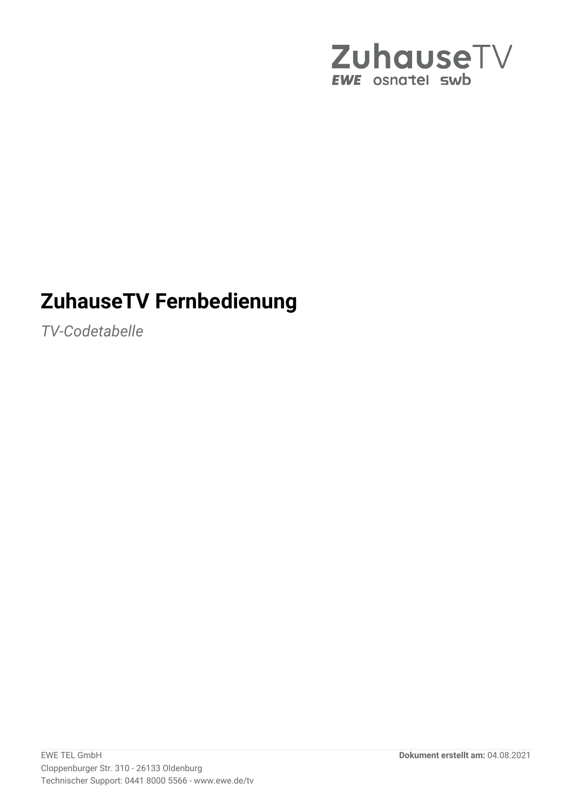

# **ZuhauseTV Fernbedienung**

*TV-Codetabelle*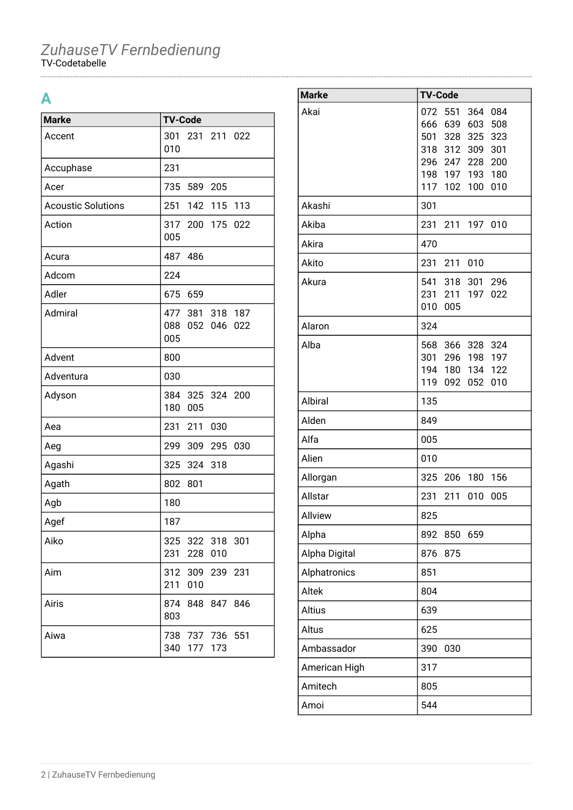## **A**

| <b>Marke</b>              | <b>TV-Code</b>                                     |
|---------------------------|----------------------------------------------------|
| Accent                    | 301<br>231 211 022<br>010                          |
| Accuphase                 | 231                                                |
| Acer                      | 735 589 205                                        |
| <b>Acoustic Solutions</b> | 251<br>142 115 113                                 |
| Action                    | 317 200 175<br>022<br>005                          |
| Acura                     | 487 486                                            |
| Adcom                     | 224                                                |
| Adler                     | 675<br>659                                         |
| Admiral                   | 477 381 318 187<br>088<br>052<br>046<br>022<br>005 |
| Advent                    | 800                                                |
| Adventura                 | 030                                                |
| Adyson                    | 384<br>325 324 200<br>180<br>005                   |
| Aea                       | 231 211<br>030                                     |
| Aeg                       | 299<br>309 295<br>030                              |
| Agashi                    | 325 324 318                                        |
| Agath                     | 802<br>801                                         |
| Agb                       | 180                                                |
| Agef                      | 187                                                |
| Aiko                      | 325 322 318 301<br>231<br>228<br>010               |
| Aim                       | 312 309 239 231<br>211<br>010                      |
| Airis                     | 874<br>848 847 846<br>803                          |
| Aiwa                      | 738 737 736 551<br>340 177 173                     |

| <b>Marke</b>   | <b>TV-Code</b>                        |
|----------------|---------------------------------------|
| Akai           | 551<br>084<br>072<br>364              |
|                | 639<br>603<br>508<br>666              |
|                | 501 328<br>325<br>323                 |
|                | 318 312 309<br>301                    |
|                | 296 247 228<br>200<br>198 197 193 180 |
|                | 117<br>102 <sub>1</sub><br>100<br>010 |
| Akashi         | 301                                   |
| Akiba          | 231<br>211 197 010                    |
| Akira          | 470                                   |
| Akito          | 010<br>231<br>211                     |
| Akura          | 541<br>318<br>301 296                 |
|                | 231<br>211<br>197<br>022              |
|                | 010<br>005                            |
| Alaron         | 324                                   |
| Alba           | 568<br>366 328<br>324                 |
|                | 301 296 198 197                       |
|                | 194<br>122<br>180 134                 |
|                | 119<br>092<br>052<br>010              |
| <b>Albiral</b> | 135                                   |
| Alden          | 849                                   |
| Alfa           | 005                                   |
| Alien          | 010                                   |
| Allorgan       | 325<br>206<br>180<br>156              |
| Allstar        | 231<br>211<br>010<br>005              |
| Allview        | 825                                   |
| Alpha          | 892<br>659<br>850                     |
| Alpha Digital  | 876<br>875                            |
| Alphatronics   | 851                                   |
| Altek          | 804                                   |
| Altius         | 639                                   |
| Altus          | 625                                   |
| Ambassador     | 390<br>030                            |
| American High  | 317                                   |
| Amitech        | 805                                   |
| Amoi           | 544                                   |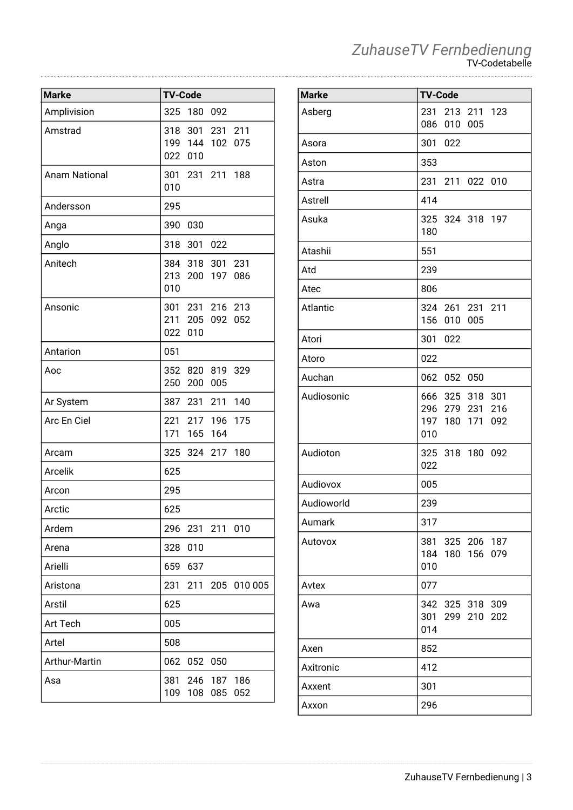| <b>Marke</b>         | <b>TV-Code</b> |             |                 |                 |
|----------------------|----------------|-------------|-----------------|-----------------|
|                      |                |             |                 |                 |
| Amplivision          | 325            | 180 092     |                 |                 |
| Amstrad              |                |             | 318 301 231 211 |                 |
|                      |                |             | 199 144 102 075 |                 |
|                      |                | 022 010     |                 |                 |
| <b>Anam National</b> |                |             | 301 231 211 188 |                 |
|                      | 010            |             |                 |                 |
| Andersson            | 295            |             |                 |                 |
| Anga                 | 390            | 030         |                 |                 |
| Anglo                | 318            | 301         | 022             |                 |
| Anitech              |                |             | 384 318 301 231 |                 |
|                      |                |             | 213 200 197 086 |                 |
|                      | 010            |             |                 |                 |
| Ansonic              |                |             | 301 231 216 213 |                 |
|                      |                | 211 205     | 092             | 052             |
|                      | 022            | 010         |                 |                 |
| Antarion             | 051            |             |                 |                 |
| Aoc                  |                |             | 352 820 819 329 |                 |
|                      | 250            | 200         | 005             |                 |
| Ar System            |                | 387 231 211 |                 | 140             |
| Arc En Ciel          | 221            |             | 217 196 175     |                 |
|                      | 171            | 165         | 164             |                 |
| Arcam                | 325            |             | 324 217         | 180             |
| <b>Arcelik</b>       | 625            |             |                 |                 |
| Arcon                | 295            |             |                 |                 |
| Arctic               | 625            |             |                 |                 |
| Ardem                | 296            |             | 231 211 010     |                 |
| Arena                | 328            | 010         |                 |                 |
| Arielli              | 659            | 637         |                 |                 |
| Aristona             | 231            |             |                 | 211 205 010 005 |
| Arstil               | 625            |             |                 |                 |
| Art Tech             | 005            |             |                 |                 |
| Artel                | 508            |             |                 |                 |
| Arthur-Martin        | 062            |             | 052 050         |                 |
| Asa                  | 381            |             | 246 187 186     |                 |
|                      | 109            |             | 108 085         | 052             |

| <b>Marke</b> | <b>TV-Code</b>                                               |
|--------------|--------------------------------------------------------------|
| Asberg       | 231 213 211 123<br>010 005<br>086                            |
| Asora        | 301 022                                                      |
| Aston        | 353                                                          |
| Astra        | 231 211 022 010                                              |
| Astrell      | 414                                                          |
| Asuka        | 325 324 318 197<br>180                                       |
| Atashii      | 551                                                          |
| Atd          | 239                                                          |
| Atec         | 806                                                          |
| Atlantic     | 324 261 231 211<br>156 010 005                               |
| Atori        | 301 022                                                      |
| Atoro        | 022                                                          |
| Auchan       | 062 052 050                                                  |
| Audiosonic   | 666 325 318 301<br>296 279 231 216<br>197 180 171 092<br>010 |
| Audioton     | 325 318 180 092<br>022                                       |
| Audiovox     | 005                                                          |
| Audioworld   | 239                                                          |
| Aumark       | 317                                                          |
| Autovox      | 381<br>325 206 187<br>184<br>180 156<br>079<br>010           |
| Avtex        | 077                                                          |
| Awa          | 342 325 318<br>309<br>301 299 210<br>202<br>014              |
| Axen         | 852                                                          |
| Axitronic    | 412                                                          |
| Axxent       | 301                                                          |
| Axxon        | 296                                                          |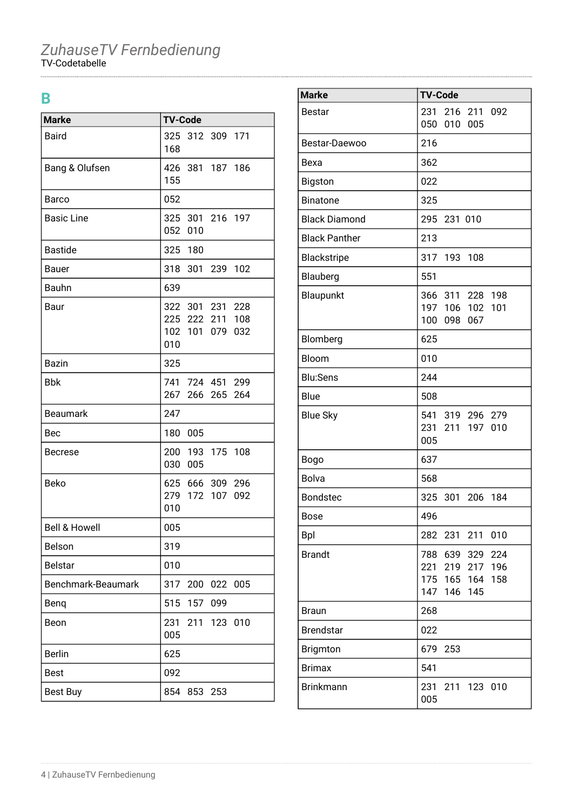### **B**

| <b>Marke</b>             | <b>TV-Code</b> |                                                       |     |         |
|--------------------------|----------------|-------------------------------------------------------|-----|---------|
| <b>Baird</b>             | 168            | 325 312 309 171                                       |     |         |
| Bang & Olufsen           | 155            | 426 381 187 186                                       |     |         |
| Barco                    | 052            |                                                       |     |         |
| <b>Basic Line</b>        |                | 325 301 216 197<br>052 010                            |     |         |
| <b>Bastide</b>           |                | 325 180                                               |     |         |
| Bauer                    |                | 318 301 239 102                                       |     |         |
| Bauhn                    | 639            |                                                       |     |         |
| Baur                     | 010            | 322 301 231 228<br>225 222 211 108<br>102 101 079 032 |     |         |
| Bazin                    | 325            |                                                       |     |         |
| Bbk                      |                | 741 724 451 299<br>267 266 265 264                    |     |         |
| <b>Beaumark</b>          | 247            |                                                       |     |         |
| Bec                      |                | 180 005                                               |     |         |
| <b>Becrese</b>           | 030            | 200 193 175 108<br>005                                |     |         |
| <b>Beko</b>              | 010            | 625 666 309 296<br>279 172 107 092                    |     |         |
| <b>Bell &amp; Howell</b> | 005            |                                                       |     |         |
| Belson                   | 319            |                                                       |     |         |
| <b>Belstar</b>           | 010            |                                                       |     |         |
| Benchmark-Beaumark       | 317            | 200                                                   | 022 | 005     |
| Benq                     | 515            | 157                                                   | 099 |         |
| Beon                     | 231<br>005     | 211                                                   |     | 123 010 |
| <b>Berlin</b>            | 625            |                                                       |     |         |
| <b>Best</b>              | 092            |                                                       |     |         |
| <b>Best Buy</b>          | 854            | 853                                                   | 253 |         |

| <b>Marke</b>         | <b>TV-Code</b>                                                                                     |
|----------------------|----------------------------------------------------------------------------------------------------|
| <b>Bestar</b>        | 231<br>216<br>211 092<br>050<br>010<br>005                                                         |
| Bestar-Daewoo        | 216                                                                                                |
| Bexa                 | 362                                                                                                |
| Bigston              | 022                                                                                                |
| <b>Binatone</b>      | 325                                                                                                |
| <b>Black Diamond</b> | 295<br>231 010                                                                                     |
| <b>Black Panther</b> | 213                                                                                                |
| Blackstripe          | 317<br>193<br>108                                                                                  |
| Blauberg             | 551                                                                                                |
| Blaupunkt            | 198<br>366 311 228<br>197 106<br>102 <sub>1</sub><br>101<br>100<br>067<br>098                      |
| Blomberg             | 625                                                                                                |
| Bloom                | 010                                                                                                |
| <b>Blu:Sens</b>      | 244                                                                                                |
| Blue                 | 508                                                                                                |
| <b>Blue Sky</b>      | 541 319 296 279<br>231<br>211<br>197<br>010<br>005                                                 |
| <b>Bogo</b>          | 637                                                                                                |
| <b>Bolva</b>         | 568                                                                                                |
| <b>Bondstec</b>      | 301<br>325<br>206<br>184                                                                           |
| <b>Bose</b>          | 496                                                                                                |
| <b>Bpl</b>           | 282<br>231<br>211<br>010                                                                           |
| <b>Brandt</b>        | 639<br>329<br>224<br>788<br>196<br>221<br>219<br>217<br>175 165<br>164<br>158<br>147<br>145<br>146 |
| <b>Braun</b>         | 268                                                                                                |
| <b>Brendstar</b>     | 022                                                                                                |
| Brigmton             | 679<br>253                                                                                         |
| <b>Brimax</b>        | 541                                                                                                |
| <b>Brinkmann</b>     | 231 211 123 010<br>005                                                                             |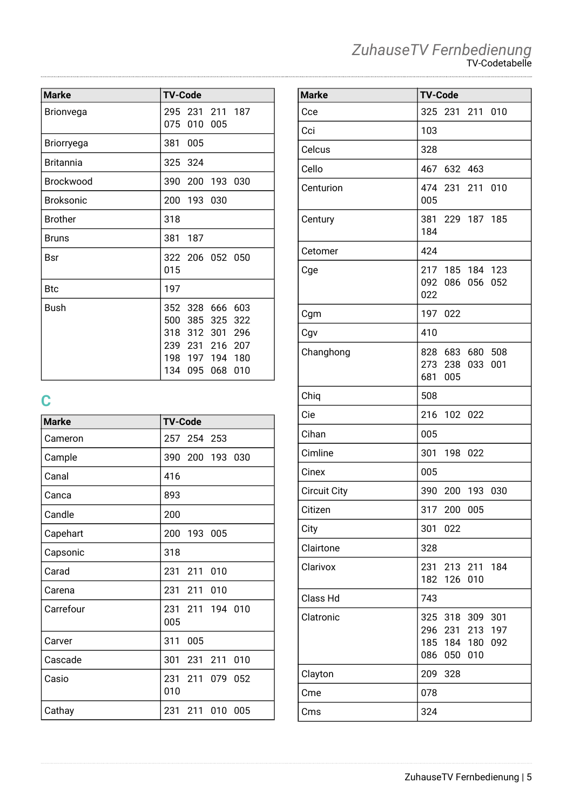| <b>Marke</b>     | <b>TV-Code</b>                                                                                                                         |
|------------------|----------------------------------------------------------------------------------------------------------------------------------------|
| <b>Brionvega</b> | 295 231 211 187<br>075<br>010<br>005                                                                                                   |
| Briorryega       | 381<br>005                                                                                                                             |
| <b>Britannia</b> | 325 324                                                                                                                                |
| <b>Brockwood</b> | 390<br>200 193 030                                                                                                                     |
| <b>Broksonic</b> | 200 193 030                                                                                                                            |
| <b>Brother</b>   | 318                                                                                                                                    |
| <b>Bruns</b>     | 381<br>- 187                                                                                                                           |
| Bsr              | 322 206 052 050<br>015                                                                                                                 |
| <b>Btc</b>       | 197                                                                                                                                    |
| Bush             | 603<br>352 328 666<br>500<br>385 325<br>322<br>318 312 301<br>296<br>239 231 216<br>207<br>198 197 194 180<br>134<br>095<br>068<br>010 |

# **C**

| <b>Marke</b> | <b>TV-Code</b>               |
|--------------|------------------------------|
| Cameron      | 257<br>254 253               |
| Cample       | 390 200 193 030              |
| Canal        | 416                          |
| Canca        | 893                          |
| Candle       | 200                          |
| Capehart     | 200 193 005                  |
| Capsonic     | 318                          |
| Carad        | 211<br>231<br>010            |
| Carena       | 231<br>211<br>010            |
| Carrefour    | 231 211<br>194 010<br>005    |
| Carver       | 311<br>005                   |
| Cascade      | 301<br>231<br>211<br>010     |
| Casio        | 231 211<br>079<br>052<br>010 |
| Cathay       | 231<br>010<br>211<br>005     |

#### *ZuhauseTV Fernbedienung* TV-Codetabelle

| <b>Marke</b>        | <b>TV-Code</b>                                                                               |
|---------------------|----------------------------------------------------------------------------------------------|
| Cce                 | 325<br>231 211 010                                                                           |
| Cci                 | 103                                                                                          |
| Celcus              | 328                                                                                          |
| Cello               | 467 632 463                                                                                  |
| Centurion           | 474 231 211 010<br>005                                                                       |
| Century             | 381 229 187 185<br>184                                                                       |
| Cetomer             | 424                                                                                          |
| Cge                 | 217 185 184 123<br>092<br>056<br>052<br>086<br>022                                           |
| Cgm                 | 197 022                                                                                      |
| Cgv                 | 410                                                                                          |
| Changhong           | 828 683<br>680 508<br>273 238<br>001<br>033<br>681 005                                       |
| Chiq                | 508                                                                                          |
| Cie                 | 216<br>102 022                                                                               |
| Cihan               | 005                                                                                          |
| Cimline             | 301<br>198<br>022                                                                            |
| Cinex               | 005                                                                                          |
| <b>Circuit City</b> | 390<br>030<br>200<br>193                                                                     |
| Citizen             | 317<br>200<br>005                                                                            |
| City                | 301<br>022                                                                                   |
| Clairtone           | 328                                                                                          |
| Clarivox            | 231<br>213 211<br>184<br>182<br>126<br>010                                                   |
| Class Hd            | 743                                                                                          |
| Clatronic           | 318<br>309<br>301<br>325<br>296 231<br>213<br>197<br>185 184 180<br>092<br>086<br>050<br>010 |
| Clayton             | 209<br>328                                                                                   |
| Cme                 | 078                                                                                          |
| Cms                 | 324                                                                                          |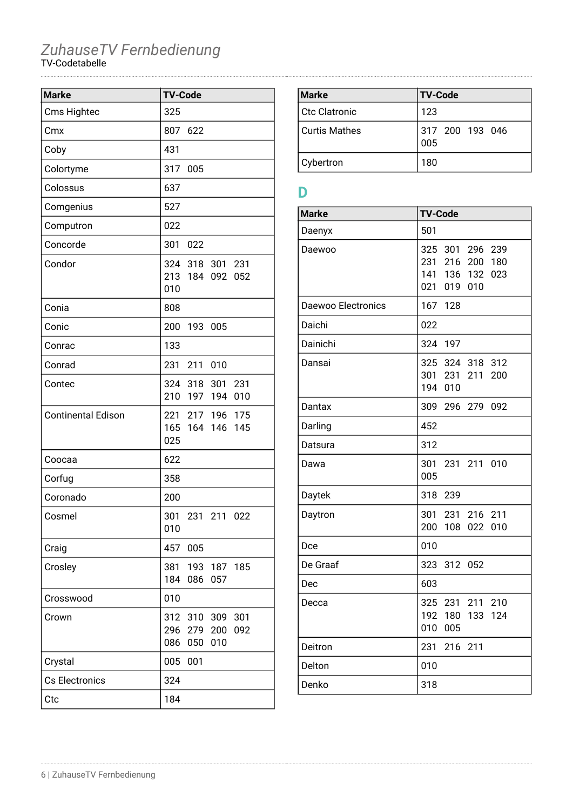| <b>Marke</b>              | <b>TV-Code</b>                                                            |
|---------------------------|---------------------------------------------------------------------------|
| Cms Hightec               | 325                                                                       |
| Cmx                       | 807<br>622                                                                |
| Coby                      | 431                                                                       |
| Colortyme                 | 317<br>005                                                                |
| Colossus                  | 637                                                                       |
| Comgenius                 | 527                                                                       |
| Computron                 | 022                                                                       |
| Concorde                  | 301<br>022                                                                |
| Condor                    | 324 318 301 231<br>213 184 092<br>052<br>010                              |
| Conia                     | 808                                                                       |
| Conic                     | 200<br>193<br>005                                                         |
| Conrac                    | 133                                                                       |
| Conrad                    | 231<br>211<br>010                                                         |
| Contec                    | 324 318 301 231<br>210<br>197 194<br>010                                  |
| <b>Continental Edison</b> | 217 196<br>175<br>221<br>165 164 146<br>145<br>025                        |
| Coocaa                    | 622                                                                       |
| Corfug                    | 358                                                                       |
| Coronado                  | 200                                                                       |
| Cosmel                    | 301<br>231 211 022<br>010                                                 |
| Craig                     | 457<br>005                                                                |
| Crosley                   | 381<br>193 187 185<br>184<br>086<br>057                                   |
| Crosswood                 | 010                                                                       |
| Crown                     | 312<br>310<br>309<br>301<br>296<br>279<br>200<br>092<br>086<br>010<br>050 |
| Crystal                   | 005<br>001                                                                |
| Cs Electronics            | 324                                                                       |
| Ctc                       | 184                                                                       |

| <b>Marke</b>    | <b>TV-Code</b>         |
|-----------------|------------------------|
| l Ctc Clatronic | 123                    |
| l Curtis Mathes | 317 200 193 046<br>005 |
| Cybertron       | 180                    |

### **D**

| <b>Marke</b>       | <b>TV-Code</b>                                                                                        |
|--------------------|-------------------------------------------------------------------------------------------------------|
| Daenyx             | 501                                                                                                   |
| Daewoo             | 325<br>296<br>239<br>301<br>231<br>216<br>200<br>180<br>141<br>132<br>023<br>136<br>021<br>019<br>010 |
| Daewoo Electronics | 167<br>128                                                                                            |
| Daichi             | 022                                                                                                   |
| Dainichi           | 324<br>197                                                                                            |
| Dansai             | 324 318<br>325<br>312<br>301<br>211<br>200<br>231<br>194<br>010                                       |
| Dantax             | 309<br>296 279 092                                                                                    |
| Darling            | 452                                                                                                   |
| Datsura            | 312                                                                                                   |
| Dawa               | 301<br>231 211 010<br>005                                                                             |
| Daytek             | 318<br>239                                                                                            |
| Daytron            | 211<br>301<br>231<br>216<br>200<br>108<br>022<br>010                                                  |
| Dce                | 010                                                                                                   |
| De Graaf           | 323<br>312<br>052                                                                                     |
| Dec                | 603                                                                                                   |
| Decca              | 325<br>231<br>211<br>210<br>192<br>180<br>124<br>133<br>010<br>005                                    |
| Deitron            | 231<br>216 211                                                                                        |
| Delton             | 010                                                                                                   |
| Denko              | 318                                                                                                   |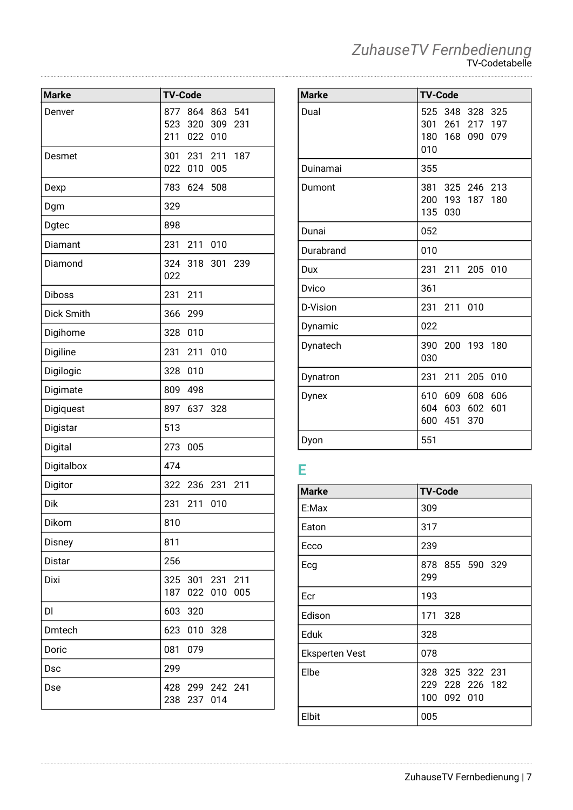| <b>Marke</b>  | <b>TV-Code</b> |            |                    |     |
|---------------|----------------|------------|--------------------|-----|
| Denver        | 877            | 864        | 863                | 541 |
|               | 523<br>211     | 320<br>022 | 309<br>010         | 231 |
| Desmet        |                | 301 231    | 211                | 187 |
|               |                | 022 010    | 005                |     |
| Dexp          | 783            | 624        | 508                |     |
| Dgm           | 329            |            |                    |     |
| Dgtec         | 898            |            |                    |     |
| Diamant       | 231            | 211        | 010                |     |
| Diamond       | 324<br>022     |            | 318 301            | 239 |
| <b>Diboss</b> | 231            | 211        |                    |     |
| Dick Smith    | 366            | 299        |                    |     |
| Digihome      | 328            | 010        |                    |     |
| Digiline      | 231            | 211        | 010                |     |
| Digilogic     | 328            | 010        |                    |     |
| Digimate      | 809            | 498        |                    |     |
| Digiquest     | 897            | 637        | 328                |     |
| Digistar      | 513            |            |                    |     |
| Digital       | 273            | 005        |                    |     |
| Digitalbox    | 474            |            |                    |     |
| Digitor       | 322            | 236 231    |                    | 211 |
| Dik           | 231            | 211        | 010                |     |
| Dikom         | 810            |            |                    |     |
| Disney        | 811            |            |                    |     |
| Distar        | 256            |            |                    |     |
| Dixi          | 325<br>187     | 022        | 301 231 211<br>010 | 005 |
| DI            | 603            | 320        |                    |     |
| Dmtech        | 623            | 010        | 328                |     |
| Doric         | 081            | 079        |                    |     |
| Dsc           | 299            |            |                    |     |
| Dse           | 428<br>238     | 299<br>237 | 242 241<br>014     |     |

| <b>Marke</b> | <b>TV-Code</b>                                               |
|--------------|--------------------------------------------------------------|
| Dual         | 525 348 328 325<br>301 261 217 197<br>180 168 090 079<br>010 |
| Duinamai     | 355                                                          |
| Dumont       | 381 325 246 213<br>200 193 187 180<br>135 030                |
| Dunai        | 052                                                          |
| Durabrand    | 010                                                          |
| Dux          | 231 211 205 010                                              |
| Dvico        | 361                                                          |
| D-Vision     | 231 211 010                                                  |
| Dynamic      | 022                                                          |
| Dynatech     | 390 200 193 180<br>030                                       |
| Dynatron     | 231 211<br>205<br>010                                        |
| Dynex        | 610 609 608<br>606<br>604 603 602<br>601<br>600 451<br>370   |
| Dyon         | 551                                                          |

### **E**

| <b>Marke</b>          | <b>TV-Code</b>                                    |
|-----------------------|---------------------------------------------------|
| E:Max                 | 309                                               |
| Eaton                 | 317                                               |
| Ecco                  | 239                                               |
| Ecg                   | 878 855 590 329<br>299                            |
| Ecr                   | 193                                               |
| Edison                | 171 328                                           |
| Eduk                  | 328                                               |
| <b>Eksperten Vest</b> | 078                                               |
| Elbe                  | 328 325 322 231<br>229 228 226 182<br>100 092 010 |
| Elbit                 | 005                                               |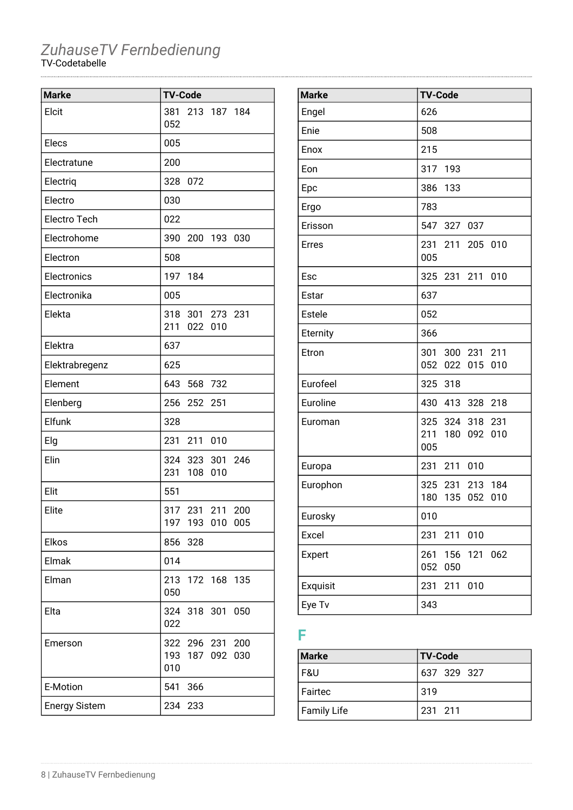| <b>Marke</b>         | <b>TV-Code</b>                               |
|----------------------|----------------------------------------------|
| Elcit                | 213 187 184<br>381<br>052                    |
| Elecs                | 005                                          |
| Electratune          | 200                                          |
| Electriq             | 328<br>072                                   |
| Electro              | 030                                          |
| <b>Electro Tech</b>  | 022                                          |
| Electrohome          | 390<br>200 193<br>030                        |
| Electron             | 508                                          |
| Electronics          | 197<br>184                                   |
| Electronika          | 005                                          |
| Elekta               | 318<br>301 273 231<br>211<br>022<br>010      |
| Elektra              | 637                                          |
| Elektrabregenz       | 625                                          |
| Element              | 643<br>568 732                               |
| Elenberg             | 256<br>252<br>251                            |
| Elfunk               | 328                                          |
| Elg                  | 211<br>231<br>010                            |
| Elin                 | 324<br>323<br>301 246<br>231<br>108<br>010   |
| Elit                 | 551                                          |
| Elite                | 317 231<br>211<br>200<br>197 193 010 005     |
| Elkos                | 856<br>328                                   |
| Elmak                | 014                                          |
| Elman                | 213 172 168 135<br>050                       |
| Elta                 | 324 318 301<br>050<br>022                    |
| Emerson              | 322 296 231 200<br>193 187 092<br>030<br>010 |
| E-Motion             | 541<br>366                                   |
| <b>Energy Sistem</b> | 234 233                                      |

| <b>Marke</b> | <b>TV-Code</b>                                              |
|--------------|-------------------------------------------------------------|
| Engel        | 626                                                         |
| Enie         | 508                                                         |
| Enox         | 215                                                         |
| Eon          | 317<br>193                                                  |
| Epc          | 386<br>133                                                  |
| Ergo         | 783                                                         |
| Erisson      | 547<br>327<br>037                                           |
| <b>Erres</b> | 231<br>211<br>205 010<br>005                                |
| Esc          | 325<br>231<br>211<br>010                                    |
| Estar        | 637                                                         |
| Estele       | 052                                                         |
| Eternity     | 366                                                         |
| Etron        | 301<br>211<br>300 231<br>052<br>022<br>015<br>010           |
| Eurofeel     | 325 318                                                     |
| Euroline     | 430<br>413<br>328<br>218                                    |
| Euroman      | 324<br>318<br>325<br>231<br>211<br>180<br>092<br>010<br>005 |
| Europa       | 231<br>211<br>010                                           |
| Europhon     | 325 231<br>213<br>184<br>180<br>135<br>052<br>010           |
| Eurosky      | 010                                                         |
| Excel        | 231<br>211<br>010                                           |
| Expert       | 261<br>156<br>121<br>062<br>052<br>050                      |
| Exquisit     | 231<br>211<br>010                                           |
| Eye Tv       | 343                                                         |

### **F**

| <b>Marke</b> | <b>TV-Code</b> |
|--------------|----------------|
| l F&U        | 637 329 327    |
| l Fairtec    | 319            |
| Family Life  | 231 211        |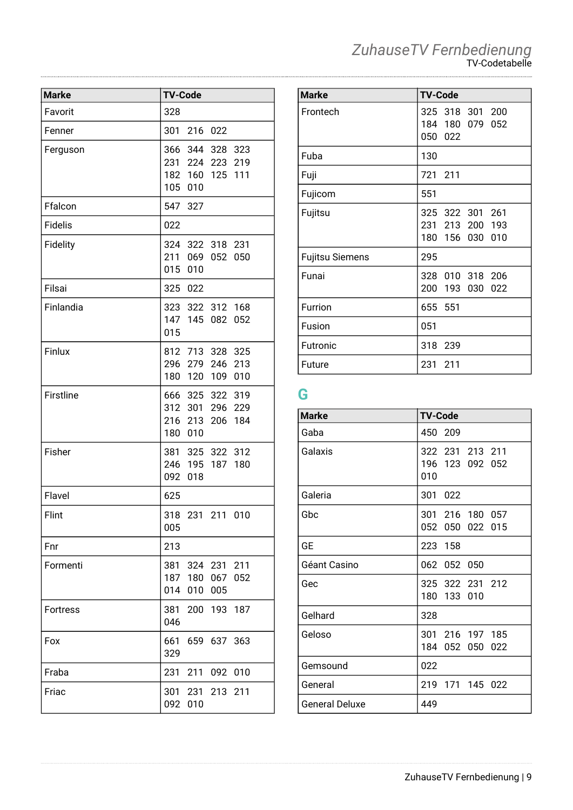| <b>Marke</b>    | <b>TV-Code</b>                                                                  |
|-----------------|---------------------------------------------------------------------------------|
| Favorit         | 328                                                                             |
| Fenner          | 301<br>216 022                                                                  |
| Ferguson        | 366<br>344 328<br>323<br>231 224 223 219<br>182<br>160 125<br>111<br>105<br>010 |
| Ffalcon         | 547<br>327                                                                      |
| <b>Fidelis</b>  | 022                                                                             |
| Fidelity        | 324<br>322 318 231<br>211<br>069<br>052<br>050<br>015<br>010                    |
| Filsai          | 325<br>022                                                                      |
| Finlandia       | 323 322 312 168<br>147 145 082<br>052<br>015                                    |
| Finlux          | 812 713 328 325<br>296 279 246 213<br>180 120 109<br>010                        |
| Firstline       | 666 325 322 319<br>312<br>301 296 229<br>216 213<br>206 184<br>180<br>010       |
| Fisher          | 381 325 322 312<br>195<br>246<br>187<br>180<br>092<br>018                       |
| Flavel          | 625                                                                             |
| Flint           | 318<br>231 211 010<br>005                                                       |
| Fnr             | 213                                                                             |
| Formenti        | 324 231 211<br>381<br>187<br>180<br>067<br>052<br>010<br>005<br>014             |
| <b>Fortress</b> | 381<br>200 193<br>187<br>046                                                    |
| Fox             | 661<br>659 637 363<br>329                                                       |
| Fraba           | 211<br>231<br>092<br>010                                                        |
| Friac           | 301<br>231<br>213<br>211<br>092<br>010                                          |

| <b>Marke</b>           | <b>TV-Code</b>                                              |
|------------------------|-------------------------------------------------------------|
| Frontech               | 325 318 301 200<br>184 180<br>079<br>052<br>050 022         |
| Fuba                   | 130                                                         |
| Fuji                   | 211<br>721                                                  |
| Fujicom                | 551                                                         |
| Fujitsu                | 325 322 301 261<br>231 213 200<br>193<br>180 156 030<br>010 |
| <b>Fujitsu Siemens</b> | 295                                                         |
| Funai                  | 010 318 206<br>328<br>200<br>193<br>030<br>022              |
| Furrion                | 655 551                                                     |
| Fusion                 | 051                                                         |
| Futronic               | 318<br>239                                                  |
| Future                 | 231<br>211                                                  |

### **G**

| <b>Marke</b>          | <b>TV-Code</b>                            |
|-----------------------|-------------------------------------------|
| Gaba                  | 450 209                                   |
| Galaxis               | 322 231 213 211<br>196 123 092 052<br>010 |
| Galeria               | 301<br>022                                |
| Gbc                   | 301 216 180 057<br>052 050 022 015        |
| GЕ                    | 158<br>223                                |
| Géant Casino          | 062<br>052<br>050                         |
| Gec                   | 325 322 231 212<br>180 133<br>010         |
| Gelhard               | 328                                       |
| Geloso                | 301 216 197 185<br>184 052<br>050<br>022  |
| Gemsound              | 022                                       |
| General               | 219 171 145 022                           |
| <b>General Deluxe</b> | 449                                       |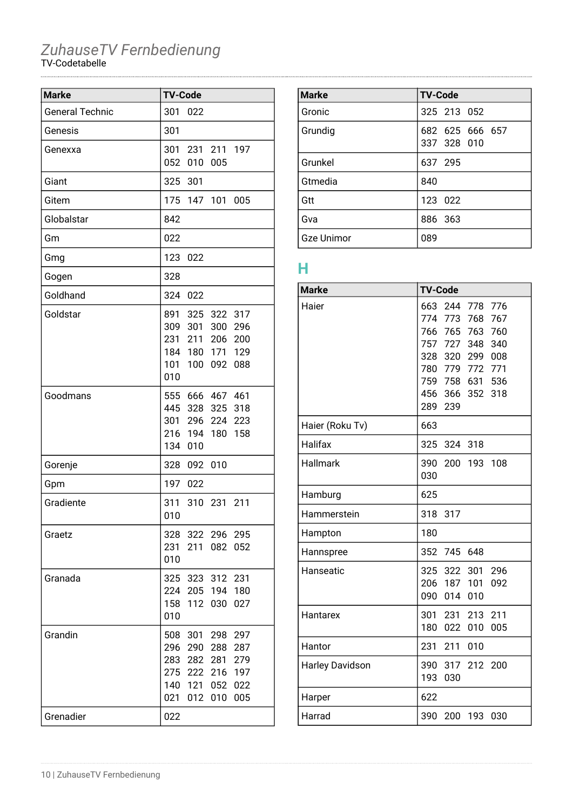| <b>Marke</b>           | <b>TV-Code</b>                                                                                                                                                       |
|------------------------|----------------------------------------------------------------------------------------------------------------------------------------------------------------------|
| <b>General Technic</b> | 301<br>022                                                                                                                                                           |
| Genesis                | 301                                                                                                                                                                  |
| Genexxa                | 301<br>211<br>231<br>197<br>052<br>010<br>005                                                                                                                        |
| Giant                  | 325<br>301                                                                                                                                                           |
| Gitem                  | 175<br>147<br>101<br>005                                                                                                                                             |
| Globalstar             | 842                                                                                                                                                                  |
| Gm                     | 022                                                                                                                                                                  |
| Gmg                    | 123<br>022                                                                                                                                                           |
| Gogen                  | 328                                                                                                                                                                  |
| Goldhand               | 324<br>022                                                                                                                                                           |
| Goldstar               | 891<br>325<br>322 317<br>309<br>301<br>300<br>296<br>231<br>211<br>200<br>206<br>184<br>180<br>129<br>171<br>101<br>100<br>092<br>088<br>010                         |
| Goodmans               | 555 666 467 461<br>445<br>328<br>325<br>318<br>301<br>224<br>296<br>223<br>216 194 180<br>158<br>134<br>010                                                          |
| Gorenje                | 328<br>092<br>010                                                                                                                                                    |
| Gpm                    | 197<br>022                                                                                                                                                           |
| Gradiente              | 311<br>310<br>- 231<br>211<br>010                                                                                                                                    |
| Graetz                 | 322 296 295<br>328<br>231<br>211<br>052<br>082<br>010                                                                                                                |
| Granada                | 325<br>323 312<br>231<br>224<br>205 194<br>180<br>158<br>112<br>030<br>027<br>010                                                                                    |
| Grandin                | 508<br>301<br>298<br>297<br>296<br>290<br>288<br>287<br>279<br>283<br>282<br>281<br>275<br>222<br>216<br>197<br>140<br>121<br>052<br>022<br>021<br>012<br>010<br>005 |
| Grenadier              | 022                                                                                                                                                                  |

| <b>Marke</b>      | <b>TV-Code</b>                 |
|-------------------|--------------------------------|
| Gronic            | 325 213 052                    |
| Grundig           | 682 625 666 657<br>337 328 010 |
| Grunkel           | 637 295                        |
| Gtmedia           | 840                            |
| Gtt               | 123 022                        |
| Gva               | 886 363                        |
| <b>Gze Unimor</b> | 089                            |

### **H**

| <b>Marke</b>           | <b>TV-Code</b>                                                                                              |
|------------------------|-------------------------------------------------------------------------------------------------------------|
| Haier                  | 244<br>663<br>778<br>776<br>774 773<br>768<br>767<br>766<br>765<br>763<br>760<br>757<br>727<br>348<br>340   |
|                        | 328<br>320<br>299<br>008<br>780 779<br>772<br>771<br>759 758 631 536<br>456 366<br>352<br>318<br>289<br>239 |
| Haier (Roku Tv)        | 663                                                                                                         |
| Halifax                | 325<br>324<br>318                                                                                           |
| Hallmark               | 390<br>200<br>193<br>108<br>030                                                                             |
| Hamburg                | 625                                                                                                         |
| Hammerstein            | 318<br>317                                                                                                  |
| Hampton                | 180                                                                                                         |
| Hannspree              | 352<br>745<br>648                                                                                           |
| Hanseatic              | 325<br>322<br>301<br>296<br>206<br>187<br>101<br>092<br>090<br>014<br>010                                   |
| Hantarex               | 301<br>231<br>213<br>211<br>180<br>022<br>010<br>005                                                        |
| Hantor                 | 211<br>010<br>231                                                                                           |
| <b>Harley Davidson</b> | 390<br>317<br>212<br>200<br>193<br>030                                                                      |
| Harper                 | 622                                                                                                         |
| Harrad                 | 390<br>200<br>193<br>030                                                                                    |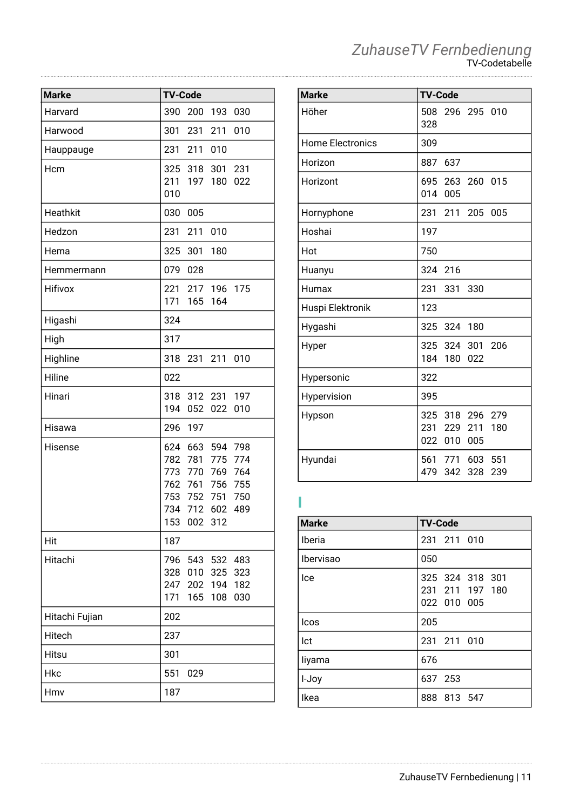| <b>Marke</b>   | <b>TV-Code</b> |                |                    |            |
|----------------|----------------|----------------|--------------------|------------|
| Harvard        | 390            | 200            | 193                | 030        |
| Harwood        | 301            | 231            | 211                | 010        |
| Hauppauge      | 231            | 211            | 010                |            |
| Hcm            | 325            | 318            | 301                | 231        |
|                | 211<br>010     | 197            | 180                | 022        |
| Heathkit       | 030            | 005            |                    |            |
| Hedzon         | 231            | 211            | 010                |            |
| Hema           | 325            | 301            | 180                |            |
| Hemmermann     | 079            | 028            |                    |            |
| Hifivox        | 221<br>171     | 165            | 217 196 175<br>164 |            |
| Higashi        | 324            |                |                    |            |
| High           | 317            |                |                    |            |
| Highline       | 318            | 231 211        |                    | 010        |
| Hiline         | 022            |                |                    |            |
| Hinari         | 318<br>194     | 052            | 312 231<br>022     | 197<br>010 |
| Hisawa         | 296            | 197            |                    |            |
| Hisense        | 624            | 663            | 594                | 798        |
|                |                | 782 781        | 775<br>769         | 774<br>764 |
|                | 773            | 770<br>762 761 | 756                | 755        |
|                |                |                | 753 752 751        | 750        |
|                |                | 734 712 602    |                    | 489        |
|                | 153            | 002 312        |                    |            |
| Hit            | 187            |                |                    |            |
| Hitachi        |                |                | 796 543 532 483    |            |
|                | 328            | 010            | 325                | 323        |
|                | 247<br>171     | 202<br>165     | 194<br>108         | 182<br>030 |
| Hitachi Fujian | 202            |                |                    |            |
| Hitech         | 237            |                |                    |            |
| Hitsu          | 301            |                |                    |            |
| <b>Hkc</b>     | 551            | 029            |                    |            |
| Hmv            | 187            |                |                    |            |

| <b>Marke</b>            | <b>TV-Code</b> |                               |                        |            |
|-------------------------|----------------|-------------------------------|------------------------|------------|
| Höher                   | 508<br>328     |                               | 296 295 010            |            |
| <b>Home Electronics</b> | 309            |                               |                        |            |
| Horizon                 | 887            | 637                           |                        |            |
| Horizont                | 014            | 005                           | 695 263 260 015        |            |
| Hornyphone              | 231            | 211                           | 205                    | 005        |
| Hoshai                  | 197            |                               |                        |            |
| Hot                     | 750            |                               |                        |            |
| Huanyu                  | 324            | 216                           |                        |            |
| Humax                   | 231            | 331                           | 330                    |            |
| Huspi Elektronik        | 123            |                               |                        |            |
| Hygashi                 | 325            | 324 180                       |                        |            |
| Hyper                   | 184            | 180                           | 325 324 301 206<br>022 |            |
| Hypersonic              | 322            |                               |                        |            |
| Hypervision             | 395            |                               |                        |            |
| Hypson                  |                | 325 318<br>231 229<br>022 010 | 296<br>211<br>005      | 279<br>180 |
| Hyundai                 | 479            | 342                           | 561 771 603 551<br>328 | 239        |

#### **I**

| <b>Marke</b>     | <b>TV-Code</b>                                    |
|------------------|---------------------------------------------------|
| Iberia           | 231 211 010                                       |
| <b>Ibervisao</b> | 050                                               |
| lce              | 325 324 318 301<br>231 211 197 180<br>022 010 005 |
| <b>Icos</b>      | 205                                               |
| Ict              | 231 211 010                                       |
| liyama           | 676                                               |
| I-Joy            | 637 253                                           |
| Ikea             | 888 813 547                                       |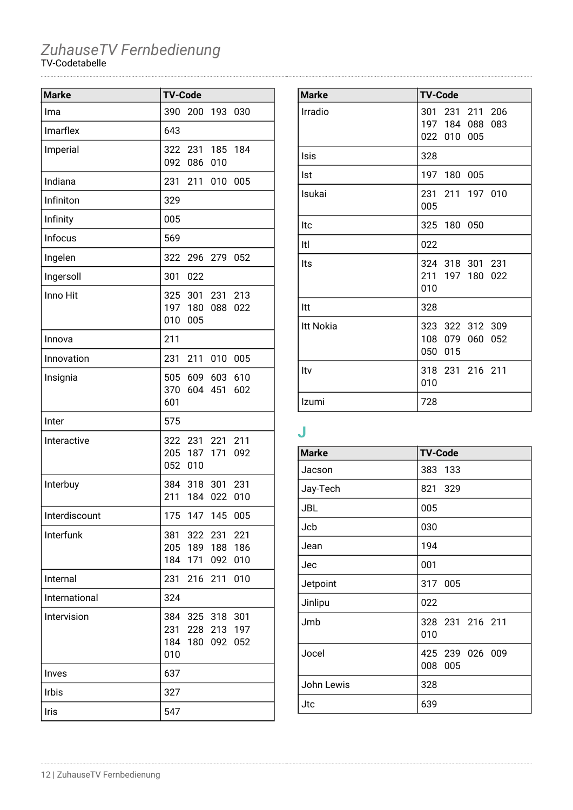| <b>Marke</b>  | <b>TV-Code</b> |                               |                           |                   |
|---------------|----------------|-------------------------------|---------------------------|-------------------|
| Ima           | 390            | 200                           | 193                       | 030               |
| Imarflex      | 643            |                               |                           |                   |
| Imperial      | 322<br>092     | 231<br>086                    | 185<br>010                | 184               |
| Indiana       | 231            | 211                           | 010                       | 005               |
| Infiniton     | 329            |                               |                           |                   |
| Infinity      | 005            |                               |                           |                   |
| Infocus       | 569            |                               |                           |                   |
| Ingelen       | 322            |                               | 296 279 052               |                   |
| Ingersoll     | 301            | 022                           |                           |                   |
| Inno Hit      | 010            | 325 301<br>197 180<br>005     | 231 213<br>088            | 022               |
| Innova        | 211            |                               |                           |                   |
| Innovation    | 231            | 211                           | 010                       | 005               |
| Insignia      | 505<br>601     | 609 603<br>370 604 451        |                           | 610<br>602        |
| Inter         | 575            |                               |                           |                   |
| Interactive   | 052            | 322 231<br>205 187 171<br>010 | 221                       | 211<br>092        |
| Interbuy      | 384<br>211     | 318<br>184                    | 301<br>022                | 231<br>010        |
| Interdiscount |                | 175 147 145 005               |                           |                   |
| Interfunk     | 381<br>184     | 205 189<br>171                | 322 231 221<br>188<br>092 | 186<br>010        |
| Internal      | 231            | 216                           | 211                       | 010               |
| International | 324            |                               |                           |                   |
| Intervision   | 384<br>010     | 231 228 213<br>184 180        | 325 318<br>092            | 301<br>197<br>052 |
| Inves         | 637            |                               |                           |                   |
| Irbis         | 327            |                               |                           |                   |
| Iris          | 547            |                               |                           |                   |

| <b>Marke</b>     | <b>TV-Code</b>                                          |
|------------------|---------------------------------------------------------|
| Irradio          | 301<br>231 211 206<br>197 184 088<br>083<br>022 010 005 |
| Isis             | 328                                                     |
| Ist              | 197 180 005                                             |
| Isukai           | 231 211 197 010<br>005                                  |
| Itc              | 325 180 050                                             |
| Itl              | 022                                                     |
| Its              | 324 318 301 231<br>211<br>197 180<br>022<br>010         |
| ltt              | 328                                                     |
| <b>Itt Nokia</b> | 323 322 312 309<br>108 079 060<br>052<br>050<br>015     |
| Itv              | 318 231 216 211<br>010                                  |
| Izumi            | 728                                                     |

### **J**

| <b>Marke</b> | <b>TV-Code</b>                |
|--------------|-------------------------------|
| Jacson       | 383 133                       |
| Jay-Tech     | 821 329                       |
| JBL          | 005                           |
| Jcb          | 030                           |
| Jean         | 194                           |
| Jec          | 001                           |
| Jetpoint     | 317 005                       |
| Jinlipu      | 022                           |
| Jmb          | 328 231 216 211<br>010        |
| Jocel        | 425 239 026 009<br>008<br>005 |
| John Lewis   | 328                           |
| Jtc          | 639                           |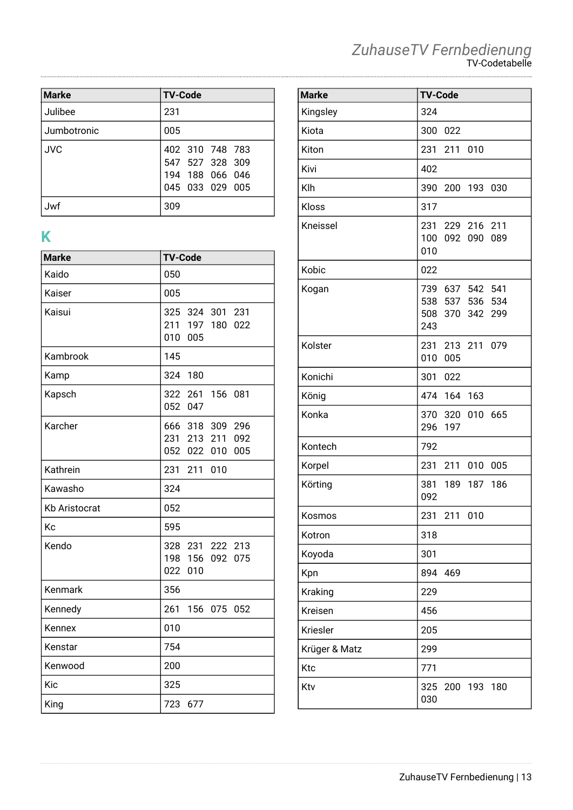| <b>Marke</b> | <b>TV-Code</b>                                                           |
|--------------|--------------------------------------------------------------------------|
| Julibee      | 231                                                                      |
| Jumbotronic  | 005                                                                      |
| <b>JVC</b>   | 402 310 748 783<br>547 527 328 309<br>194 188 066 046<br>045 033 029 005 |
| Jwf          | 309                                                                      |

# **K**

| <b>Marke</b>         | <b>TV-Code</b>                                                    |
|----------------------|-------------------------------------------------------------------|
| Kaido                | 050                                                               |
| Kaiser               | 005                                                               |
| Kaisui               | 325 324 301<br>231<br>211<br>197 180<br>022<br>010<br>005         |
| Kambrook             | 145                                                               |
| Kamp                 | 324<br>180                                                        |
| Kapsch               | 322<br>261<br>156 081<br>052 047                                  |
| Karcher              | 666 318 309<br>296<br>231 213<br>092<br>211<br>052 022 010<br>005 |
| Kathrein             | 231<br>211<br>010                                                 |
| Kawasho              | 324                                                               |
| <b>Kb Aristocrat</b> | 052                                                               |
| Kc                   | 595                                                               |
| Kendo                | 328 231 222 213<br>198 156<br>092<br>075<br>022<br>010            |
| Kenmark              | 356                                                               |
| Kennedy              | 261<br>156<br>075 052                                             |
| Kennex               | 010                                                               |
| Kenstar              | 754                                                               |
| Kenwood              | 200                                                               |
| Kic                  | 325                                                               |
| King                 | 723<br>677                                                        |

#### *ZuhauseTV Fernbedienung* TV-Codetabelle

| <b>Marke</b>  | <b>TV-Code</b>                                                        |
|---------------|-----------------------------------------------------------------------|
| Kingsley      | 324                                                                   |
| Kiota         | 300<br>022                                                            |
| Kiton         | 231<br>211 010                                                        |
| Kivi          | 402                                                                   |
| Klh           | 390<br>200<br>193<br>030                                              |
| Kloss         | 317                                                                   |
| Kneissel      | 211<br>231<br>229 216<br>100<br>092<br>089<br>090<br>010              |
| Kobic         | 022                                                                   |
| Kogan         | 541<br>739<br>637 542<br>538 537 536<br>534<br>508 370 342 299<br>243 |
| Kolster       | 231 213 211 079<br>010<br>005                                         |
| Konichi       | 301<br>022                                                            |
| König         | 474<br>164<br>163                                                     |
| Konka         | 370<br>320 010 665<br>296<br>197                                      |
| Kontech       | 792                                                                   |
| Korpel        | 231<br>211<br>010<br>005                                              |
| Körting       | 381<br>189 187 186<br>092                                             |
| Kosmos        | 231<br>211 010                                                        |
| Kotron        | 318                                                                   |
| Koyoda        | 301                                                                   |
| Kpn           | 894<br>469                                                            |
| Kraking       | 229                                                                   |
| Kreisen       | 456                                                                   |
| Kriesler      | 205                                                                   |
| Krüger & Matz | 299                                                                   |
| Ktc           | 771                                                                   |
| Ktv           | 200 193<br>325<br>180<br>030                                          |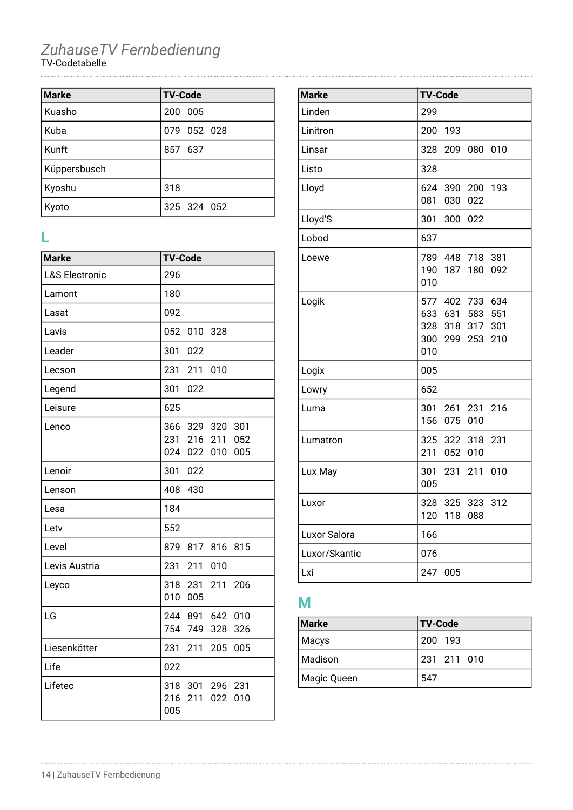| <b>Marke</b> | <b>TV-Code</b> |
|--------------|----------------|
| Kuasho       | 200 005        |
| Kuba         | 079 052 028    |
| Kunft        | 857 637        |
| Küppersbusch |                |
| Kyoshu       | 318            |
| Kyoto        | 325 324 052    |

### **L**

| <b>Marke</b>              | <b>TV-Code</b>                                                                   |
|---------------------------|----------------------------------------------------------------------------------|
| <b>L&amp;S Electronic</b> | 296                                                                              |
| Lamont                    | 180                                                                              |
| Lasat                     | 092                                                                              |
| Lavis                     | 052<br>010<br>328                                                                |
| Leader                    | 301<br>022                                                                       |
| Lecson                    | 231<br>211<br>010                                                                |
| Legend                    | 301<br>022                                                                       |
| Leisure                   | 625                                                                              |
| Lenco                     | 366<br>329<br>320<br>301<br>231<br>216<br>211<br>052<br>024<br>005<br>022<br>010 |
| Lenoir                    | 301<br>022                                                                       |
| Lenson                    | 408<br>430                                                                       |
| Lesa                      | 184                                                                              |
| Letv                      | 552                                                                              |
| Level                     | 879<br>817<br>816<br>815                                                         |
| Levis Austria             | 231<br>010<br>211                                                                |
| Leyco                     | 318<br>231<br>211<br>206<br>010<br>005                                           |
| LG                        | 244 891<br>642<br>010<br>754<br>749<br>328<br>326                                |
| Liesenkötter              | 231<br>211<br>205<br>005                                                         |
| Life                      | 022                                                                              |
| Lifetec                   | 231<br>318<br>301<br>296<br>216<br>211<br>022<br>010<br>005                      |

| <b>Marke</b>  | <b>TV-Code</b>                                                                              |
|---------------|---------------------------------------------------------------------------------------------|
| Linden        | 299                                                                                         |
| Linitron      | 193<br>200                                                                                  |
| Linsar        | 328<br>209 080 010                                                                          |
| Listo         | 328                                                                                         |
| Lloyd         | 624<br>390 200 193<br>081<br>030<br>022                                                     |
| Lloyd'S       | 301<br>300<br>022                                                                           |
| Lobod         | 637                                                                                         |
| Loewe         | 789 448 718<br>381<br>190 187<br>180<br>092<br>010                                          |
| Logik         | 577 402 733 634<br>633 631 583<br>551<br>328<br>318 317<br>301<br>300 299 253<br>210<br>010 |
| Logix         | 005                                                                                         |
| Lowry         | 652                                                                                         |
| Luma          | 301<br>261 231 216<br>156<br>075 010                                                        |
| Lumatron      | 325<br>322 318<br>231<br>211<br>052 010                                                     |
| Lux May       | 301<br>010<br>231<br>211<br>005                                                             |
| Luxor         | 328<br>325<br>323<br>312<br>120<br>118<br>088                                               |
| Luxor Salora  | 166                                                                                         |
| Luxor/Skantic | 076                                                                                         |
| Lxi           | 247 005                                                                                     |

# **M**

| <b>Marke</b> | <b>TV-Code</b> |
|--------------|----------------|
| Macys        | 200 193        |
| Madison      | 231 211 010    |
| Magic Queen  | 547            |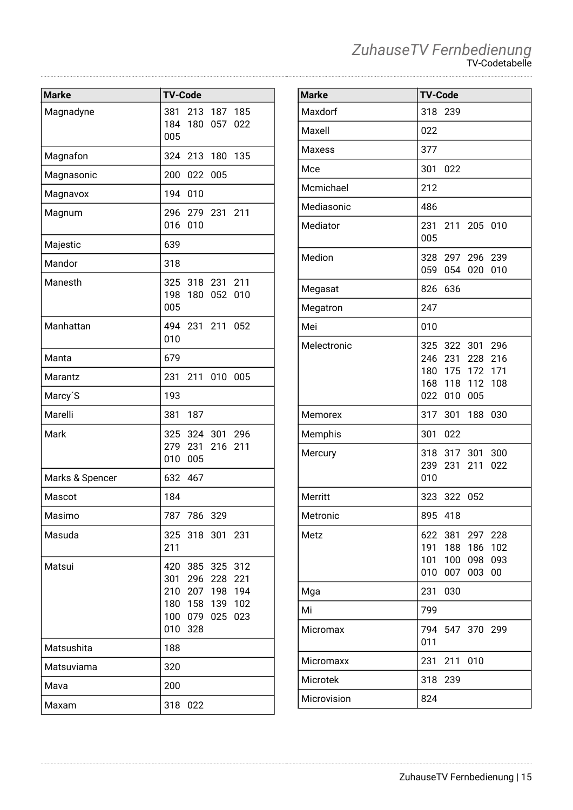| ZuhauseTV Fernbedienung |
|-------------------------|
| <b>TV-Codetabelle</b>   |

| <b>Marke</b>    | <b>TV-Code</b>                                                                                                                    |
|-----------------|-----------------------------------------------------------------------------------------------------------------------------------|
| Magnadyne       | 381<br>213 187 185<br>184<br>180<br>057<br>022<br>005                                                                             |
| Magnafon        | 324<br>213<br>180<br>135                                                                                                          |
| Magnasonic      | 200<br>022<br>005                                                                                                                 |
| Magnavox        | 194<br>010                                                                                                                        |
| Magnum          | 296<br>279 231<br>211<br>016<br>010                                                                                               |
| Majestic        | 639                                                                                                                               |
| Mandor          | 318                                                                                                                               |
| Manesth         | 318 231 211<br>325<br>198<br>180<br>052<br>010<br>005                                                                             |
| Manhattan       | 494 231 211<br>052<br>010                                                                                                         |
| Manta           | 679                                                                                                                               |
| Marantz         | 231<br>211<br>010<br>005                                                                                                          |
| Marcy'S         | 193                                                                                                                               |
| Marelli         | 381<br>187                                                                                                                        |
| Mark            | 325<br>324 301 296<br>279<br>231<br>211<br>216<br>010<br>005                                                                      |
| Marks & Spencer | 632<br>467                                                                                                                        |
| Mascot          | 184                                                                                                                               |
| Masimo          | 787 786<br>329                                                                                                                    |
| Masuda          | 325 318 301 231<br>211                                                                                                            |
| Matsui          | 420<br>385 325<br>312<br>296<br>221<br>301<br>228<br>210 207 198<br>194<br>180 158 139<br>102<br>100 079 025<br>023<br>010<br>328 |
| Matsushita      | 188                                                                                                                               |
| Matsuviama      | 320                                                                                                                               |
| Mava            | 200                                                                                                                               |
| Maxam           | 318<br>022                                                                                                                        |

| <b>Marke</b>  | <b>TV-Code</b>                                                                                               |
|---------------|--------------------------------------------------------------------------------------------------------------|
| Maxdorf       | 318<br>239                                                                                                   |
| Maxell        | 022                                                                                                          |
| <b>Maxess</b> | 377                                                                                                          |
| Mce           | 301<br>022                                                                                                   |
| Mcmichael     | 212                                                                                                          |
| Mediasonic    | 486                                                                                                          |
| Mediator      | 231<br>211 205 010<br>005                                                                                    |
| Medion        | 328 297 296 239<br>059<br>054 020<br>010                                                                     |
| Megasat       | 826<br>636                                                                                                   |
| Megatron      | 247                                                                                                          |
| Mei           | 010                                                                                                          |
| Melectronic   | 325 322 301 296<br>246 231<br>228<br>216<br>180 175 172<br>171<br>168 118<br>112<br>108<br>022<br>005<br>010 |
| Memorex       | 317<br>301<br>188<br>030                                                                                     |
| Memphis       | 301<br>022                                                                                                   |
| Mercury       | 318<br>317<br>300<br>301<br>239<br>022<br>231<br>211<br>010                                                  |
| Merritt       | 323 322<br>052                                                                                               |
| Metronic      | 895<br>418                                                                                                   |
| Metz          | 622 381<br>297<br>228<br>188 186<br>102<br>191<br>098<br>093<br>101<br>100<br>010<br>007<br>003<br>00        |
| Mga           | 231<br>030                                                                                                   |
| Mi            | 799                                                                                                          |
| Micromax      | 794<br>547 370 299<br>011                                                                                    |
| Micromaxx     | 231<br>211<br>010                                                                                            |
| Microtek      | 318<br>239                                                                                                   |
| Microvision   | 824                                                                                                          |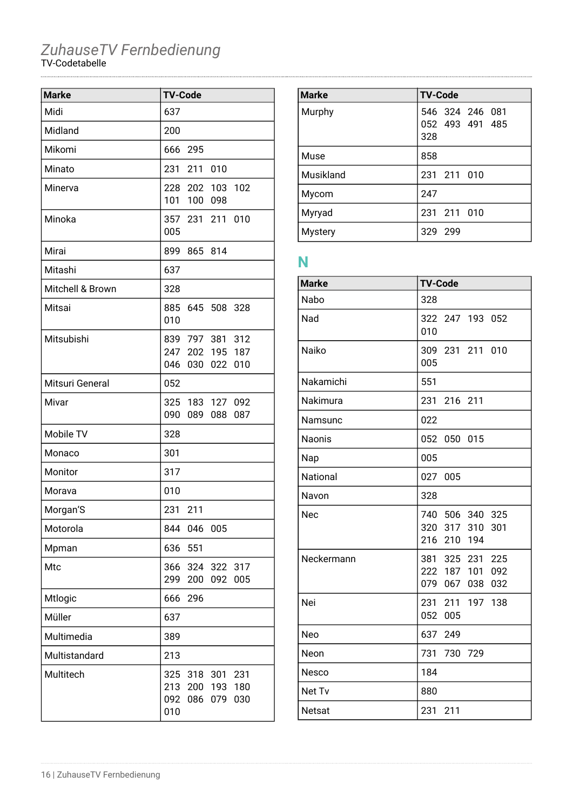| <b>Marke</b>     | <b>TV-Code</b>                                                                    |
|------------------|-----------------------------------------------------------------------------------|
| Midi             | 637                                                                               |
| Midland          | 200                                                                               |
| Mikomi           | 666 295                                                                           |
| Minato           | 231 211 010                                                                       |
| Minerva          | 228 202 103 102<br>101<br>100 098                                                 |
| Minoka           | 357 231 211 010<br>005                                                            |
| Mirai            | 899 865 814                                                                       |
| Mitashi          | 637                                                                               |
| Mitchell & Brown | 328                                                                               |
| Mitsai           | 885 645 508 328<br>010                                                            |
| Mitsubishi       | 839 797 381 312<br>247 202 195 187<br>046<br>030 022<br>010                       |
| Mitsuri General  | 052                                                                               |
| Mivar            | 325 183 127 092<br>090<br>089 088<br>087                                          |
| Mobile TV        | 328                                                                               |
| Monaco           | 301                                                                               |
| Monitor          | 317                                                                               |
| Morava           | 010                                                                               |
| Morgan'S         | 231 211                                                                           |
| Motorola         | 844<br>046<br>005                                                                 |
| Mpman            | 636<br>551                                                                        |
| Mtc              | 366<br>324 322<br>317<br>299<br>092<br>005<br>200                                 |
| Mtlogic          | 666<br>296                                                                        |
| Müller           | 637                                                                               |
| Multimedia       | 389                                                                               |
| Multistandard    | 213                                                                               |
| Multitech        | 325 318<br>301<br>231<br>213 200<br>193<br>180<br>092<br>079<br>086<br>030<br>010 |

| <b>Marke</b>   | <b>TV-Code</b>                            |
|----------------|-------------------------------------------|
| Murphy         | 546 324 246 081<br>052 493 491 485<br>328 |
| Muse           | 858                                       |
| Musikland      | 231 211 010                               |
| Mycom          | 247                                       |
| Myryad         | 231 211 010                               |
| <b>Mystery</b> | 329 299                                   |

# **N**

| <b>Marke</b>  | <b>TV-Code</b>                                                    |
|---------------|-------------------------------------------------------------------|
| Nabo          | 328                                                               |
| Nad           | 322 247 193 052<br>010                                            |
| Naiko         | 309 231 211 010<br>005                                            |
| Nakamichi     | 551                                                               |
| Nakimura      | 231 216 211                                                       |
| Namsunc       | 022                                                               |
| <b>Naonis</b> | 052<br>050 015                                                    |
| Nap           | 005                                                               |
| National      | 027<br>005                                                        |
| Navon         | 328                                                               |
| Nec           | 740 506 340 325<br>320<br>317<br>310<br>301<br>216<br>210 194     |
| Neckermann    | 381 325 231 225<br>222 187 101<br>092<br>079<br>067<br>038<br>032 |
| Nei           | 231<br>211 197 138<br>052<br>005                                  |
| Neo           | 637 249                                                           |
| Neon          | 731<br>730<br>729                                                 |
| Nesco         | 184                                                               |
| Net Tv        | 880                                                               |
| Netsat        | 231<br>211                                                        |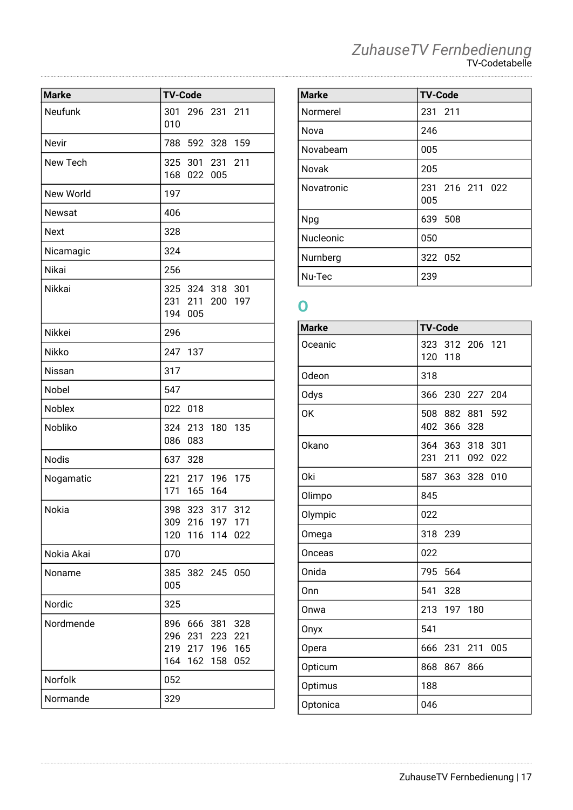| ZuhauseTV Fernbedienung |
|-------------------------|
| <b>TV-Codetabelle</b>   |

| <b>Marke</b>  | <b>TV-Code</b>                                                                                         |
|---------------|--------------------------------------------------------------------------------------------------------|
| Neufunk       | 301<br>296 231 211<br>010                                                                              |
| Nevir         | 788<br>592 328 159                                                                                     |
| New Tech      | 325 301 231 211<br>168 022 005                                                                         |
| New World     | 197                                                                                                    |
| <b>Newsat</b> | 406                                                                                                    |
| <b>Next</b>   | 328                                                                                                    |
| Nicamagic     | 324                                                                                                    |
| Nikai         | 256                                                                                                    |
| Nikkai        | 325 324 318<br>301<br>231 211 200<br>197<br>194<br>005                                                 |
| Nikkei        | 296                                                                                                    |
| Nikko         | 247<br>137                                                                                             |
| Nissan        | 317                                                                                                    |
| Nobel         | 547                                                                                                    |
| Noblex        | 022<br>018                                                                                             |
| Nobliko       | 324 213 180 135<br>086<br>083                                                                          |
| <b>Nodis</b>  | 637 328                                                                                                |
| Nogamatic     | 221 217 196 175<br>171<br>165 164                                                                      |
| Nokia         | 398<br>323<br>317 312<br>309 216 197 171<br>120<br>116<br>114<br>022                                   |
| Nokia Akai    | 070                                                                                                    |
| Noname        | 385<br>382 245<br>050<br>005                                                                           |
| Nordic        | 325                                                                                                    |
| Nordmende     | 896<br>666<br>381<br>328<br>296<br>231<br>223<br>221<br>219<br>217 196 165<br>052<br>164<br>162<br>158 |
| Norfolk       | 052                                                                                                    |
| Normande      | 329                                                                                                    |

| <b>Marke</b>     | <b>TV-Code</b>         |
|------------------|------------------------|
| Normerel         | 231 211                |
| Nova             | 246                    |
| Novabeam         | 005                    |
| Novak            | 205                    |
| Novatronic       | 231 216 211 022<br>005 |
| <b>Npg</b>       | 639 508                |
| <b>Nucleonic</b> | 050                    |
| Nurnberg         | 322 052                |
| Nu-Tec           | 239                    |

### **O**

| <b>Marke</b> | <b>TV-Code</b>                                    |
|--------------|---------------------------------------------------|
| Oceanic      | 323<br>312 206 121<br>120<br>118                  |
| Odeon        | 318                                               |
| Odys         | 204<br>366<br>230<br>227                          |
| <b>OK</b>    | 508<br>882<br>881<br>592<br>402<br>366<br>328     |
| Okano        | 364 363<br>318<br>301<br>231<br>211<br>092<br>022 |
| <b>Oki</b>   | 587 363 328<br>010                                |
| Olimpo       | 845                                               |
| Olympic      | 022                                               |
| Omega        | 318<br>239                                        |
| Onceas       | 022                                               |
| Onida        | 795<br>564                                        |
| Onn          | 541<br>328                                        |
| Onwa         | 213<br>197<br>180                                 |
| Onyx         | 541                                               |
| Opera        | 666<br>005<br>231<br>211                          |
| Opticum      | 868<br>867<br>866                                 |
| Optimus      | 188                                               |
| Optonica     | 046                                               |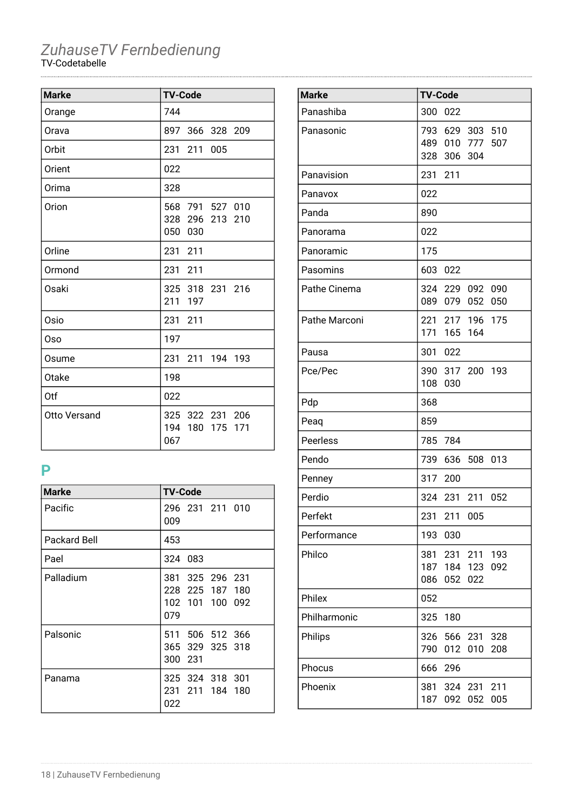| <b>Marke</b> | <b>TV-Code</b>                                  |
|--------------|-------------------------------------------------|
| Orange       | 744                                             |
| Orava        | 897 366 328 209                                 |
| Orbit        | 231 211 005                                     |
| Orient       | 022                                             |
| Orima        | 328                                             |
| Orion        | 568 791 527 010<br>328 296 213 210<br>050 030   |
| Orline       | 231 211                                         |
| Ormond       | 231 211                                         |
| Osaki        | 325 318 231 216<br>211<br>197                   |
| Osio         | 231 211                                         |
| Oso          | 197                                             |
| Osume        | 231 211 194 193                                 |
| Otake        | 198                                             |
| Otf          | 022                                             |
| Otto Versand | 325 322 231 206<br>194 180<br>175<br>171<br>067 |

### **P**

| <b>Marke</b>        | <b>TV-Code</b>                                                  |
|---------------------|-----------------------------------------------------------------|
| Pacific             | 296 231 211 010<br>009                                          |
| <b>Packard Bell</b> | 453                                                             |
| Pael                | 324 083                                                         |
| Palladium           | 381 325 296 231<br>228<br>225 187 180<br>102 101 100 092<br>079 |
| Palsonic            | 506 512 366<br>511<br>365 329 325 318<br>300 231                |
| Panama              | 325 324 318 301<br>211 184 180<br>231<br>022                    |

| <b>Marke</b>    | <b>TV-Code</b>                                                         |
|-----------------|------------------------------------------------------------------------|
| Panashiba       | 300<br>022                                                             |
| Panasonic       | 793 629 303 510<br>489 010 777<br>507<br>328 306 304                   |
| Panavision      | 231<br>211                                                             |
| Panavox         | 022                                                                    |
| Panda           | 890                                                                    |
| Panorama        | 022                                                                    |
| Panoramic       | 175                                                                    |
| Pasomins        | 603<br>022                                                             |
| Pathe Cinema    | 324 229 092 090<br>089<br>079<br>052<br>050                            |
| Pathe Marconi   | 221 217 196<br>175<br>171 165 164                                      |
| Pausa           | 301<br>022                                                             |
| Pce/Pec         | 390 317 200<br>193<br>108<br>030                                       |
| Pdp             | 368                                                                    |
| Peaq            | 859                                                                    |
| <b>Peerless</b> | 785<br>784                                                             |
| Pendo           | 739<br>636<br>508<br>013                                               |
| Penney          | 317<br>- 200                                                           |
| Perdio          | 324<br>231<br>211<br>052                                               |
| Perfekt         | 231<br>211<br>005                                                      |
| Performance     | 193<br>030                                                             |
| Philco          | 231<br>193<br>381<br>211<br>187<br>184 123<br>092<br>086<br>052<br>022 |
| Philex          | 052                                                                    |
| Philharmonic    | 325<br>180                                                             |
| Philips         | 326<br>566 231<br>328<br>790<br>012<br>010<br>208                      |
| Phocus          | 666<br>296                                                             |
| Phoenix         | 381<br>324 231<br>211<br>187<br>005<br>092<br>052                      |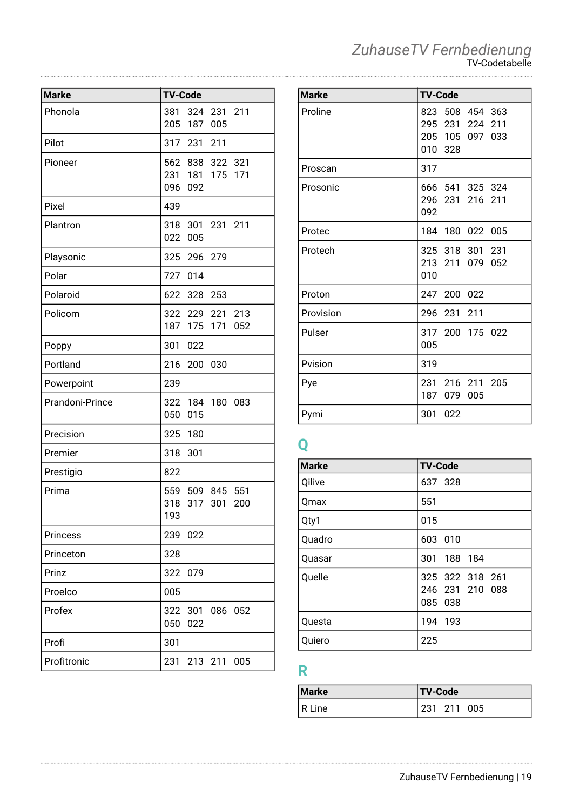| <b>Marke</b>    | <b>TV-Code</b>    |                               |             |            |
|-----------------|-------------------|-------------------------------|-------------|------------|
| Phonola         | 381<br>205        | 324<br>187                    | 231<br>005  | 211        |
| Pilot           | 317               | 231                           | 211         |            |
| Pioneer         | 096               | 562 838<br>231 181 175<br>092 | 322 321     | 171        |
| Pixel           | 439               |                               |             |            |
| Plantron        | 318<br>022        | 301<br>005                    | 231 211     |            |
| Playsonic       | 325               | 296                           | 279         |            |
| Polar           | 727               | 014                           |             |            |
| Polaroid        | 622               | 328                           | 253         |            |
| Policom         | 187               | 322 229<br>175                | 221<br>171  | 213<br>052 |
| Poppy           | 301               | 022                           |             |            |
| Portland        | 216               | 200                           | 030         |            |
| Powerpoint      | 239               |                               |             |            |
| Prandoni-Prince | 322<br>050        | 015                           | 184 180 083 |            |
| Precision       | 325               | 180                           |             |            |
| Premier         | 318               | 301                           |             |            |
| Prestigio       | 822               |                               |             |            |
| Prima           | 559<br>318<br>193 | 509 845                       | 317 301     | 551<br>200 |
| <b>Princess</b> | 239               | 022                           |             |            |
| Princeton       | 328               |                               |             |            |
| Prinz           | 322               | 079                           |             |            |
| Proelco         | 005               |                               |             |            |
| Profex          | 322<br>050        | 301<br>022                    |             | 086 052    |
| Profi           | 301               |                               |             |            |
| Profitronic     | 231               |                               | 213 211     | 005        |

| <b>Marke</b> | <b>TV-Code</b>                                                                  |
|--------------|---------------------------------------------------------------------------------|
| Proline      | 508 454 363<br>823<br>295 231<br>224<br>211<br>205<br>105 097<br>033<br>010 328 |
| Proscan      | 317                                                                             |
| Prosonic     | 541 325 324<br>666<br>296<br>231<br>216 211<br>092                              |
| Protec       | 180 022 005<br>184                                                              |
| Protech      | 325 318 301 231<br>213 211<br>079<br>052<br>010                                 |
| Proton       | 247 200 022                                                                     |
| Provision    | 296<br>231 211                                                                  |
| Pulser       | 317 200 175 022<br>005                                                          |
| Pvision      | 319                                                                             |
| Pye          | 216 211 205<br>231<br>187<br>079<br>005                                         |
| Pymi         | 301<br>022                                                                      |

## **Q**

| <b>Marke</b> | <b>TV-Code</b>                                |
|--------------|-----------------------------------------------|
| Qilive       | 637 328                                       |
| Qmax         | 551                                           |
| Qty1         | 015                                           |
| Quadro       | 603 010                                       |
| Quasar       | 301<br>188 184                                |
| Quelle       | 325 322 318 261<br>246 231 210 088<br>085 038 |
| Questa       | 194 193                                       |
| Quiero       | 225                                           |

# **R**

| <b>Marke</b> | <b>TV-Code</b> |
|--------------|----------------|
| R Line       | 231 211 005    |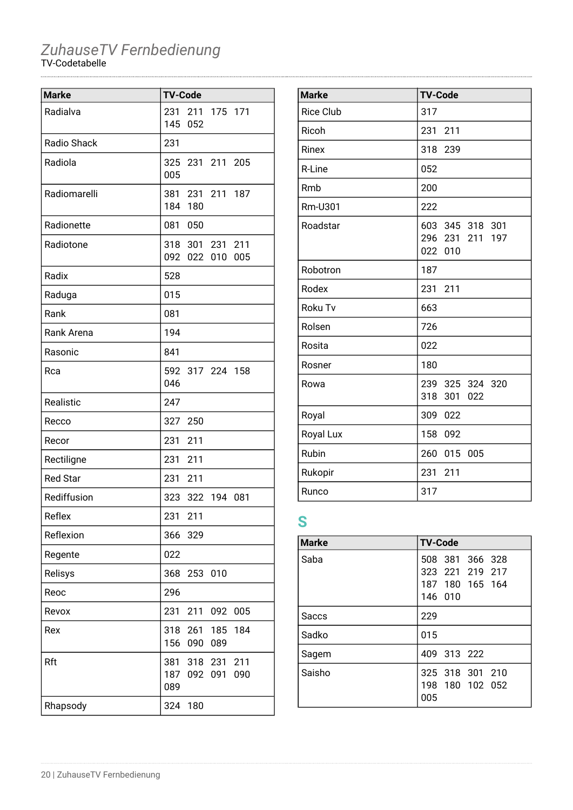| <b>Marke</b>    | <b>TV-Code</b>    |            |                        |            |
|-----------------|-------------------|------------|------------------------|------------|
| Radialva        | 231<br>145        | 052        | 211 175 171            |            |
| Radio Shack     | 231               |            |                        |            |
| Radiola         | 005               |            | 325 231 211 205        |            |
| Radiomarelli    | 381<br>184        | 180        | 231 211 187            |            |
| Radionette      | 081               | 050        |                        |            |
| Radiotone       | 092               | 022        | 318 301 231 211<br>010 | 005        |
| Radix           | 528               |            |                        |            |
| Raduga          | 015               |            |                        |            |
| Rank            | 081               |            |                        |            |
| Rank Arena      | 194               |            |                        |            |
| Rasonic         | 841               |            |                        |            |
| Rca             | 046               |            | 592 317 224 158        |            |
| Realistic       | 247               |            |                        |            |
| Recco           | 327               | 250        |                        |            |
| Recor           | 231               | 211        |                        |            |
| Rectiligne      | 231               | 211        |                        |            |
| <b>Red Star</b> | 231               | 211        |                        |            |
| Rediffusion     | 323               |            | 322 194                | 081        |
| Reflex          | 231               | 211        |                        |            |
| Reflexion       | 366               | 329        |                        |            |
| Regente         | 022               |            |                        |            |
| Relisys         | 368               | 253        | 010                    |            |
| Reoc            | 296               |            |                        |            |
| Revox           | 231               | 211        | 092                    | 005        |
| Rex             | 318<br>156        | 261<br>090 | 185<br>089             | 184        |
| Rft             | 381<br>187<br>089 | 318<br>092 | 231<br>091             | 211<br>090 |
| Rhapsody        | 324               | 180        |                        |            |

| <b>Marke</b>     | <b>TV-Code</b>                                      |
|------------------|-----------------------------------------------------|
|                  |                                                     |
| <b>Rice Club</b> | 317                                                 |
| Ricoh            | 211<br>231                                          |
| Rinex            | 318<br>239                                          |
| R-Line           | 052                                                 |
| Rmb              | 200                                                 |
| Rm-U301          | 222                                                 |
| Roadstar         | 603 345 318 301<br>296 231<br>211<br>197<br>022 010 |
| Robotron         | 187                                                 |
| Rodex            | 231<br>211                                          |
| Roku Tv          | 663                                                 |
| Rolsen           | 726                                                 |
| Rosita           | 022                                                 |
| Rosner           | 180                                                 |
| Rowa             | 239 325 324 320<br>318<br>301<br>022                |
| Royal            | 309<br>022                                          |
| Royal Lux        | 158<br>092                                          |
| Rubin            | 015<br>260<br>005                                   |
| Rukopir          | 231<br>211                                          |
| Runco            | 317                                                 |

### **S**

| <b>Marke</b> | <b>TV-Code</b>  |
|--------------|-----------------|
| Saba         | 508 381 366 328 |
|              | 323 221 219 217 |
|              | 187 180 165 164 |
|              | 146 010         |
| Saccs        | 229             |
| Sadko        | 015             |
| Sagem        | 409 313 222     |
| Saisho       | 325 318 301 210 |
|              | 198 180 102 052 |
|              | 005             |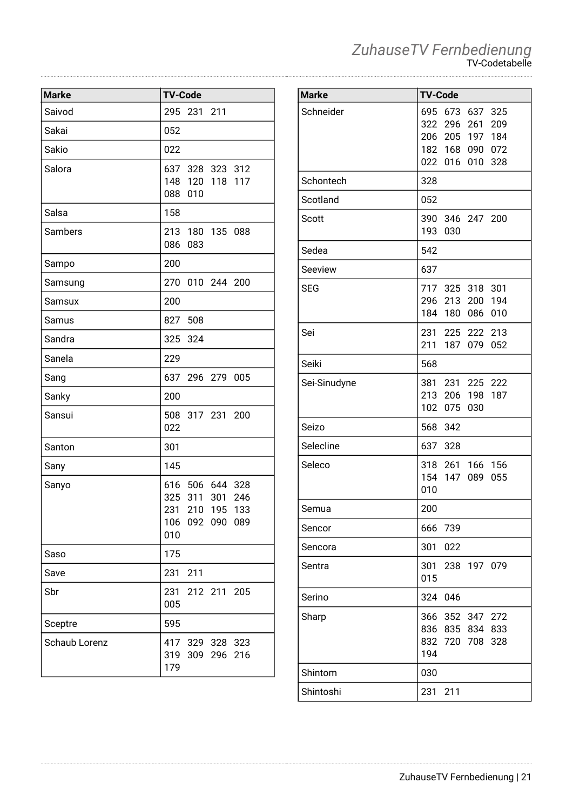### **Marke TV-Code** Saivod 295 231 211 Sakai 052 Sakio 1022 Salora 637 328 323 312 148 120 118 117 088 010 Salsa 158 Sambers 213 180 135 088 086 083 Sampo 200 Samsung 270 010 244 200 Samsux 200 Samus | 827 508 Sandra 325 324 Sanela 229 Sang 637 296 279 005 Sanky 200 Sansui 508 317 231 200 022 Santon 301 Sany 145 Sanyo 616 506 644 328 325 311 301 246 231 210 195 133 106 092 090 089 010  $Saso$  175 Save 231 211 Sbr 231 212 211 205 005 Sceptre 1595 Schaub Lorenz 417 329 328 323 319 309 296 216 179

### **Marke TV-Code** Schneider 695 673 637 325 322 296 261 209 206 205 197 184 182 168 090 072 022 016 010 328 Schontech 1328 Scotland 1052 Scott 390 346 247 200 193 030 Sedea 542 Seeview 637 SEG 717 325 318 301 296 213 200 194 184 180 086 010 Sei 231 225 222 213 211 187 079 052 Seiki 568 Sei-Sinudyne | 381 231 225 222 213 206 198 187 102 075 030 Seizo | 568 342 Selecline 1637 328 Seleco 318 261 166 156 154 147 089 055 010 Semua 200 Sencor | 666 739 Sencora | 301 022 Sentra 301 238 197 079 015 Serino | 324 046 Sharp 366 352 347 272 836 835 834 833 832 720 708 328 194 Shintom 1030 Shintoshi 231 211

*ZuhauseTV Fernbedienung*

TV-Codetabelle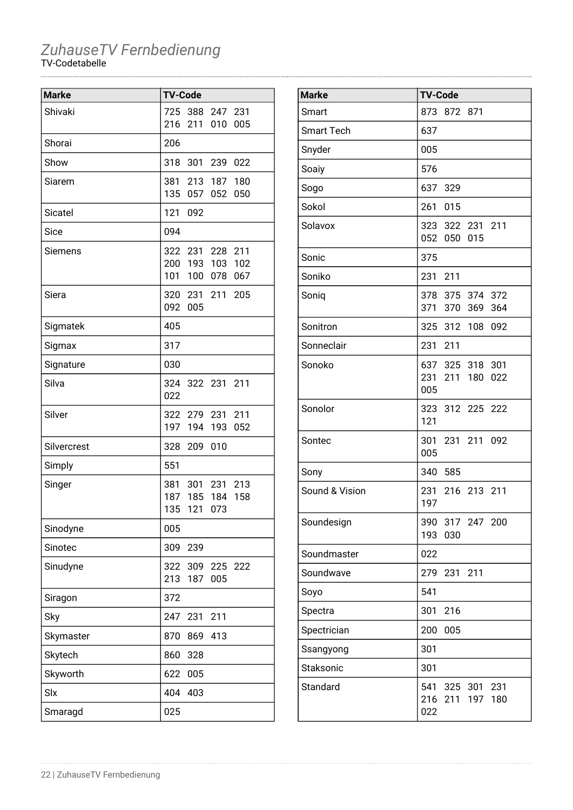| <b>Marke</b>   | <b>TV-Code</b> |                 |     |     |
|----------------|----------------|-----------------|-----|-----|
| Shivaki        | 725            | 388             | 247 | 231 |
|                | 216            | 211             | 010 | 005 |
| Shorai         | 206            |                 |     |     |
| Show           | 318            | 301             | 239 | 022 |
| Siarem         | 381            | 213             | 187 | 180 |
|                | 135            | 057             | 052 | 050 |
| <b>Sicatel</b> | 121            | 092             |     |     |
| Sice           | 094            |                 |     |     |
| Siemens        |                | 322 231 228     |     | 211 |
|                |                | 200 193 103     |     | 102 |
|                | 101            | 100             | 078 | 067 |
| Siera          |                | 320 231         | 211 | 205 |
|                | 092            | 005             |     |     |
| Sigmatek       | 405            |                 |     |     |
| Sigmax         | 317            |                 |     |     |
| Signature      | 030            |                 |     |     |
| Silva          |                | 324 322 231 211 |     |     |
|                | 022            |                 |     |     |
| Silver         |                | 322 279 231     |     | 211 |
|                | 197            | 194             | 193 | 052 |
| Silvercrest    | 328            | 209             | 010 |     |
| Simply         | 551            |                 |     |     |
| Singer         | 381            | 301             | 231 | 213 |
|                | 187            | 185             | 184 | 158 |
|                | 135            | 121             | 073 |     |
| Sinodyne       | 005            |                 |     |     |
| Sinotec        | 309            | 239             |     |     |
| Sinudyne       | 322            | 309             | 225 | 222 |
|                | 213            | 187             | 005 |     |
| Siragon        | 372            |                 |     |     |
| Sky            | 247            | 231             | 211 |     |
| Skymaster      | 870            | 869             | 413 |     |
| Skytech        | 860            | 328             |     |     |
| Skyworth       | 622            | 005             |     |     |
| Slx            | 404            | 403             |     |     |
| Smaragd        | 025            |                 |     |     |

| <b>Marke</b>      | <b>TV-Code</b>                                        |
|-------------------|-------------------------------------------------------|
| Smart             | 873 872 871                                           |
| <b>Smart Tech</b> | 637                                                   |
| Snyder            | 005                                                   |
| Soaiy             | 576                                                   |
| Sogo              | 637 329                                               |
| Sokol             | 261<br>015                                            |
| Solavox           | 323 322 231 211<br>052 050<br>015                     |
| Sonic             | 375                                                   |
| Soniko            | 231 211                                               |
| Soniq             | 378 375 374 372<br>371 370 369<br>364                 |
| Sonitron          | 325 312 108 092                                       |
| Sonneclair        | 231 211                                               |
| Sonoko            | 637 325 318<br>301<br>231 211 180<br>022<br>005       |
| Sonolor           | 323 312 225 222<br>121                                |
| Sontec            | 231 211 092<br>301<br>005                             |
| Sony              | 340 585                                               |
| Sound & Vision    | 216 213 211<br>231<br>197                             |
| Soundesign        | 390 317 247 200<br>193<br>030                         |
| Soundmaster       | 022                                                   |
| Soundwave         | 279<br>231<br>211                                     |
| Soyo              | 541                                                   |
| Spectra           | 301<br>216                                            |
| Spectrician       | 200<br>005                                            |
| Ssangyong         | 301                                                   |
| Staksonic         | 301                                                   |
| Standard          | 541<br>325 301 231<br>216<br>211<br>197<br>180<br>022 |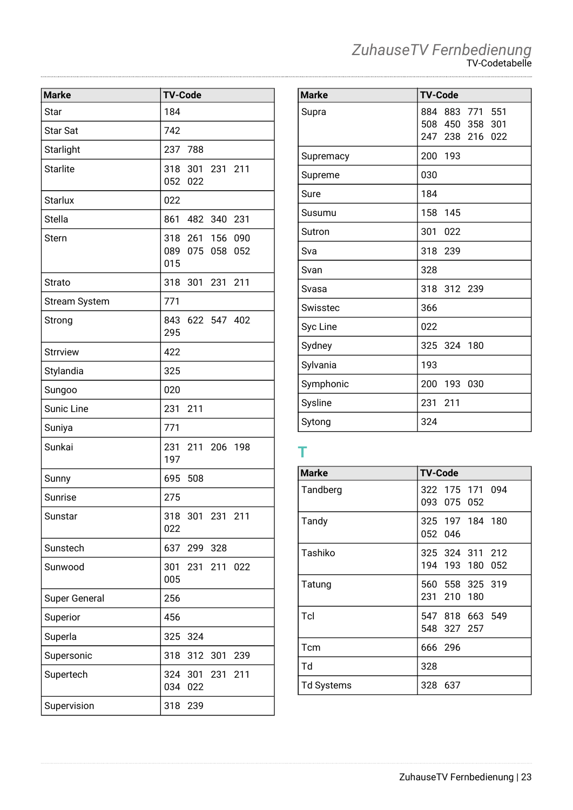| <b>Marke</b>         | <b>TV-Code</b>                               |
|----------------------|----------------------------------------------|
| Star                 | 184                                          |
| <b>Star Sat</b>      | 742                                          |
| Starlight            | 237 788                                      |
| <b>Starlite</b>      | 318 301 231 211<br>052<br>022                |
| <b>Starlux</b>       | 022                                          |
| <b>Stella</b>        | 861 482 340 231                              |
| Stern                | 318 261 156 090<br>089 075 058<br>052<br>015 |
| <b>Strato</b>        | 318 301 231<br>211                           |
| <b>Stream System</b> | 771                                          |
| Strong               | 843 622 547 402<br>295                       |
| <b>Strrview</b>      | 422                                          |
| Stylandia            | 325                                          |
| Sungoo               | 020                                          |
| <b>Sunic Line</b>    | 231<br>211                                   |
| Suniya               | 771                                          |
| Sunkai               | 231 211 206 198<br>197                       |
| Sunny                | 695<br>508                                   |
| Sunrise              | 275                                          |
| Sunstar              | 318 301 231 211<br>022                       |
| Sunstech             | 637<br>299 328                               |
| Sunwood              | 301 231 211 022<br>005                       |
| <b>Super General</b> | 256                                          |
| Superior             | 456                                          |
| Superla              | 325<br>324                                   |
| Supersonic           | 318<br>312<br>301<br>239                     |
| Supertech            | 324 301<br>231<br>211<br>034<br>022          |
| Supervision          | 318<br>239                                   |

| ZuhauseTV Fernbedienung |
|-------------------------|
| <b>TV-Codetabelle</b>   |

| <b>Marke</b> | <b>TV-Code</b>                                                       |
|--------------|----------------------------------------------------------------------|
| Supra        | 883<br>771<br>551<br>884<br>508 450 358<br>301<br>247 238 216<br>022 |
| Supremacy    | 200<br>193                                                           |
| Supreme      | 030                                                                  |
| Sure         | 184                                                                  |
| Susumu       | 158<br>145                                                           |
| Sutron       | 301<br>022                                                           |
| Sva          | 318<br>239                                                           |
| Svan         | 328                                                                  |
| Svasa        | 318<br>312 239                                                       |
| Swisstec     | 366                                                                  |
| Syc Line     | 022                                                                  |
| Sydney       | 325<br>324 180                                                       |
| Sylvania     | 193                                                                  |
| Symphonic    | 200<br>193 030                                                       |
| Sysline      | 231<br>211                                                           |
| Sytong       | 324                                                                  |

### **T**

| <b>Marke</b>      | <b>TV-Code</b>                     |
|-------------------|------------------------------------|
| Tandberg          | 322 175 171 094<br>093 075 052     |
| Tandy             | 325 197 184 180<br>052 046         |
| Tashiko           | 325 324 311 212<br>194 193 180 052 |
| Tatung            | 560 558 325 319<br>231 210 180     |
| Tcl               | 547 818 663 549<br>548 327 257     |
| Tcm               | 666 296                            |
| Td                | 328                                |
| <b>Td Systems</b> | 328 637                            |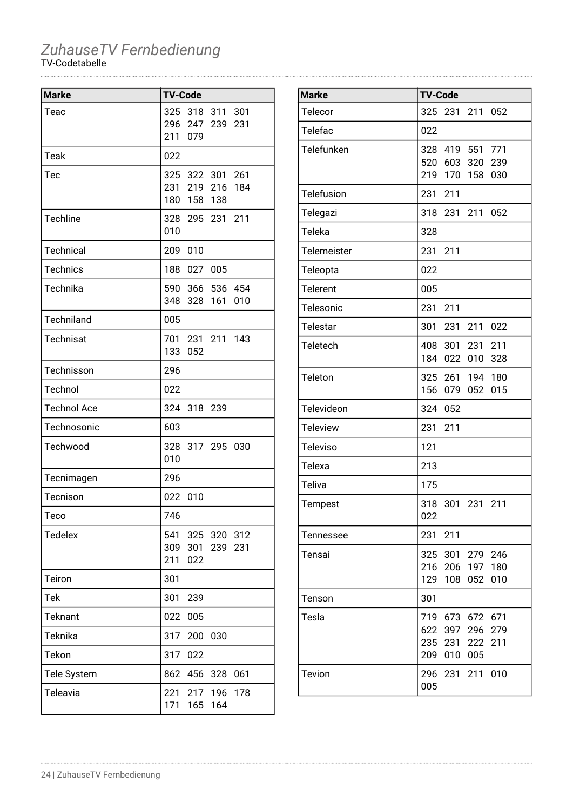| <b>Marke</b>       | <b>TV-Code</b> |            |                                           |            |
|--------------------|----------------|------------|-------------------------------------------|------------|
| Teac               | 325<br>211     | 079        | 318 311<br>296 247 239                    | 301<br>231 |
| Teak               | 022            |            |                                           |            |
| Tec                | 180            |            | 325 322 301 261<br>231 219 216<br>158 138 | 184        |
| Techline           | 010            |            | 328 295 231 211                           |            |
| Technical          | 209            | 010        |                                           |            |
| <b>Technics</b>    | 188            | 027        | 005                                       |            |
| Technika           | 590<br>348     | 328        | 366 536 454<br>161                        | 010        |
| Techniland         | 005            |            |                                           |            |
| Technisat          | 133            | 052        | 701 231 211 143                           |            |
| Technisson         | 296            |            |                                           |            |
| Technol            | 022            |            |                                           |            |
| <b>Technol Ace</b> | 324            | 318        | 239                                       |            |
| Technosonic        | 603            |            |                                           |            |
| Techwood           | 010            |            | 328 317 295                               | 030        |
| Tecnimagen         | 296            |            |                                           |            |
| Tecnison           | 022            | 010        |                                           |            |
| Teco               | 746            |            |                                           |            |
| <b>Tedelex</b>     | 309<br>211     | 301<br>022 | 541 325 320 312<br>239                    | 231        |
| Teiron             | 301            |            |                                           |            |
| Tek                | 301            | 239        |                                           |            |
| <b>Teknant</b>     | 022            | 005        |                                           |            |
| Teknika            | 317            | 200        | 030                                       |            |
| Tekon              | 317            | 022        |                                           |            |
| Tele System        | 862            | 456        | 328                                       | 061        |
| Teleavia           | 221<br>171     | 217<br>165 | 196<br>164                                | 178        |

| <b>Marke</b>       | <b>TV-Code</b>                                                                            |
|--------------------|-------------------------------------------------------------------------------------------|
| Telecor            | 325<br>231<br>211 052                                                                     |
| Telefac            | 022                                                                                       |
| Telefunken         | 328<br>419<br>551<br>771<br>520<br>603<br>320<br>239<br>219<br>170<br>030<br>158          |
| Telefusion         | 231<br>211                                                                                |
| Telegazi           | 318<br>231<br>211<br>052                                                                  |
| Teleka             | 328                                                                                       |
| <b>Telemeister</b> | 231<br>211                                                                                |
| Teleopta           | 022                                                                                       |
| <b>Telerent</b>    | 005                                                                                       |
| Telesonic          | 231<br>211                                                                                |
| Telestar           | 301<br>231<br>211<br>022                                                                  |
| Teletech           | 301<br>231<br>211<br>408<br>184<br>022<br>010<br>328                                      |
| Teleton            | 325 261 194<br>180<br>156<br>015<br>079<br>052                                            |
| Televideon         | 324<br>052                                                                                |
| <b>Teleview</b>    | 231<br>211                                                                                |
| <b>Televiso</b>    | 121                                                                                       |
| Telexa             | 213                                                                                       |
| Teliva             | 175                                                                                       |
| Tempest            | 318<br>301<br>231<br>211<br>022                                                           |
| Tennessee          | 231<br>211                                                                                |
| Tensai             | 279<br>246<br>325<br>301<br>216 206 197<br>180<br>129<br>108<br>052<br>010                |
| Tenson             | 301                                                                                       |
| Tesla              | 719<br>673 672 671<br>622 397<br>296<br>279<br>235<br>231<br>222<br>211<br>209<br>010 005 |
| Tevion             | 296<br>231 211<br>010<br>005                                                              |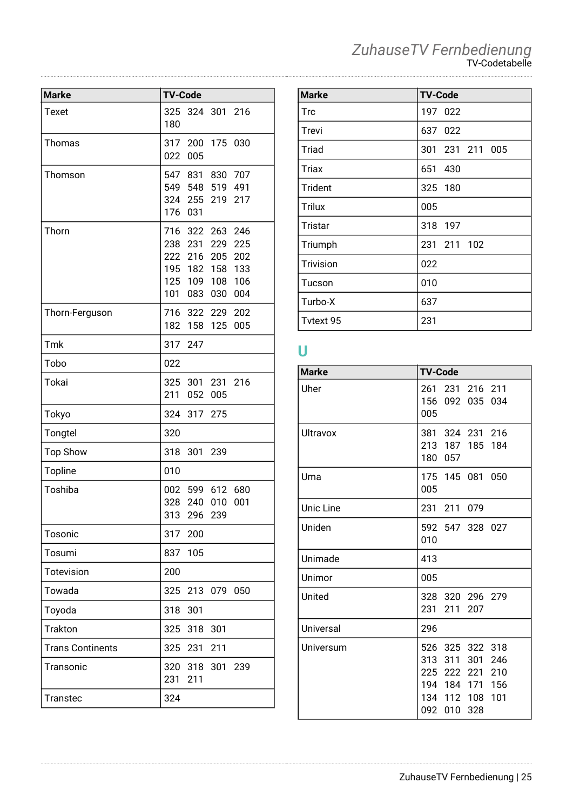| ZuhauseTV Fernbedienung |
|-------------------------|
| <b>TV-Codetabelle</b>   |

| <b>Marke</b>            | <b>TV-Code</b>                                                                                                                            |
|-------------------------|-------------------------------------------------------------------------------------------------------------------------------------------|
| <b>Texet</b>            | 324 301 216<br>325<br>180                                                                                                                 |
| Thomas                  | 317 200 175<br>030<br>005<br>022                                                                                                          |
| Thomson                 | 547 831 830<br>707<br>549 548 519<br>491<br>324 255 219<br>217<br>176<br>031                                                              |
| Thorn                   | 322 263<br>246<br>716<br>238 231 229<br>225<br>222 216 205<br>202<br>195 182 158<br>133<br>125 109 108<br>106<br>101<br>083<br>030<br>004 |
| Thorn-Ferguson          | 716<br>322<br>202<br>229<br>182<br>005<br>158<br>125                                                                                      |
| Tmk                     | 317<br>247                                                                                                                                |
| Tobo                    | 022                                                                                                                                       |
| Tokai                   | 301<br>231<br>325<br>216<br>211<br>005<br>052                                                                                             |
| Tokyo                   | 324<br>317<br>275                                                                                                                         |
| Tongtel                 | 320                                                                                                                                       |
| <b>Top Show</b>         | 318<br>301<br>239                                                                                                                         |
| Topline                 | 010                                                                                                                                       |
| Toshiba                 | 599 612<br>680<br>002<br>328<br>240<br>010<br>001<br>313<br>296<br>239                                                                    |
| Tosonic                 | 317<br>200                                                                                                                                |
| Tosumi                  | 105<br>837                                                                                                                                |
| Totevision              | 200                                                                                                                                       |
| Towada                  | 325 213 079<br>050                                                                                                                        |
| Toyoda                  | 318<br>301                                                                                                                                |
| Trakton                 | 325 318 301                                                                                                                               |
| <b>Trans Continents</b> | 325<br>231<br>211                                                                                                                         |
| Transonic               | 320<br>318<br>301<br>239<br>231<br>211                                                                                                    |
| <b>Transtec</b>         | 324                                                                                                                                       |

| <b>TV-Code</b>  |
|-----------------|
| 197 022         |
| 637 022         |
| 301 231 211 005 |
| 651 430         |
| 325 180         |
| 005             |
| 318 197         |
| 231 211 102     |
| 022             |
| 010             |
| 637             |
| 231             |
|                 |

### **U**

| <b>Marke</b> | <b>TV-Code</b>                                                                                                         |
|--------------|------------------------------------------------------------------------------------------------------------------------|
| Uher         | 261 231 216 211<br>156<br>092 035<br>034<br>005                                                                        |
| Ultravox     | 381 324 231 216<br>213 187 185 184<br>180<br>057                                                                       |
| Uma          | 175 145 081 050<br>005                                                                                                 |
| Unic Line    | 231 211 079                                                                                                            |
| Uniden       | 592 547 328 027<br>010                                                                                                 |
| Unimade      | 413                                                                                                                    |
| Unimor       | 005                                                                                                                    |
| United       | 328 320 296 279<br>231<br>211<br>207                                                                                   |
| Universal    | 296                                                                                                                    |
| Universum    | 526 325 322 318<br>313 311<br>301<br>246<br>225 222 221 210<br>194 184 171 156<br>134 112 108 101<br>092<br>010<br>328 |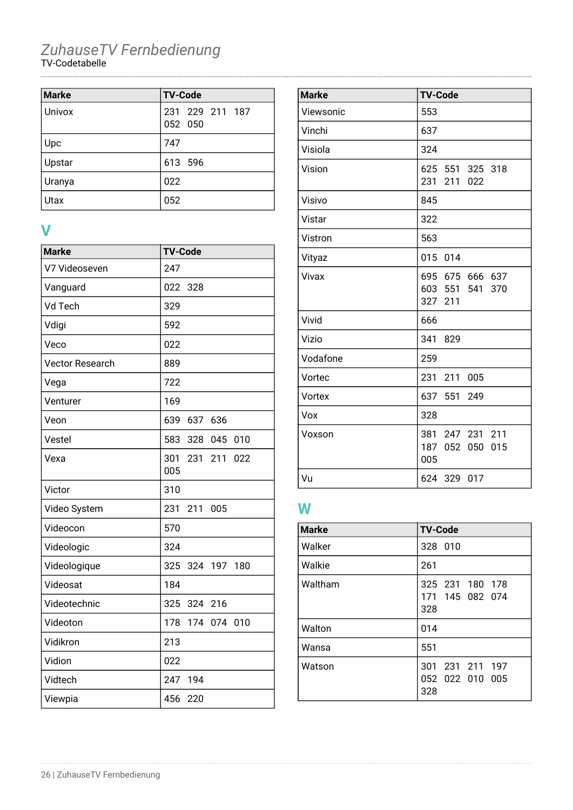| Marke         | <b>TV-Code</b>             |
|---------------|----------------------------|
| Univox        | 231 229 211 187<br>052 050 |
| Upc           | 747                        |
| Upstar        | 613 596                    |
| <b>Uranya</b> | 022                        |
| Utax          | 052                        |

#### **V**

| <b>Marke</b>           | <b>TV-Code</b>                  |
|------------------------|---------------------------------|
| V7 Videoseven          | 247                             |
| Vanguard               | 022<br>328                      |
| Vd Tech                | 329                             |
| Vdigi                  | 592                             |
| Veco                   | 022                             |
| <b>Vector Research</b> | 889                             |
| Vega                   | 722                             |
| Venturer               | 169                             |
| Veon                   | 639<br>637<br>636               |
| Vestel                 | 583<br>328 045<br>010           |
| Vexa                   | 301<br>231<br>211<br>022<br>005 |
| Victor                 | 310                             |
| Video System           | 231<br>211<br>005               |
| Videocon               | 570                             |
| Videologic             | 324                             |
| Videologique           | 325<br>324<br>197<br>180        |
| Videosat               | 184                             |
| Videotechnic           | 325<br>324 216                  |
| Videoton               | 178<br>174 074 010              |
| Vidikron               | 213                             |
| Vidion                 | 022                             |
| Vidtech                | 247<br>194                      |
| Viewpia                | 456 220                         |

| <b>Marke</b> | <b>TV-Code</b>                                   |
|--------------|--------------------------------------------------|
| Viewsonic    | 553                                              |
| Vinchi       | 637                                              |
| Visiola      | 324                                              |
| Vision       | 625 551 325 318<br>211<br>231<br>022             |
| Visivo       | 845                                              |
| Vistar       | 322                                              |
| Vistron      | 563                                              |
| Vityaz       | 015 014                                          |
| Vivax        | 695 675 666 637<br>603 551 541<br>370<br>327 211 |
| Vivid        | 666                                              |
| Vizio        | 341<br>829                                       |
| Vodafone     | 259                                              |
| Vortec       | 231 211 005                                      |
| Vortex       | 637 551 249                                      |
| Vox          | 328                                              |
| Voxson       | 381 247 231 211<br>187 052 050<br>015<br>005     |
| Vu           | 624 329 017                                      |

### **W**

| <b>Marke</b> | <b>TV-Code</b>                            |
|--------------|-------------------------------------------|
| Walker       | 328 010                                   |
| Walkie       | 261                                       |
| Waltham      | 325 231 180 178<br>171 145 082 074<br>328 |
| Walton       | 014                                       |
| Wansa        | 551                                       |
| Watson       | 301 231 211 197<br>052 022 010 005<br>328 |